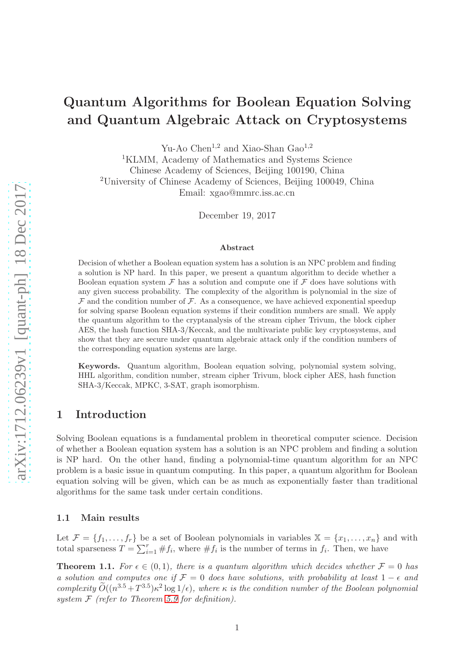# Quantum Algorithms for Boolean Equation Solving and Quantum Algebraic Attack on Cryptosystems

Yu-Ao Chen<sup>1,2</sup> and Xiao-Shan Gao<sup>1,2</sup>

<sup>1</sup>KLMM, Academy of Mathematics and Systems Science Chinese Academy of Sciences, Beijing 100190, China <sup>2</sup>University of Chinese Academy of Sciences, Beijing 100049, China Email: xgao@mmrc.iss.ac.cn

December 19, 2017

#### Abstract

Decision of whether a Boolean equation system has a solution is an NPC problem and finding a solution is NP hard. In this paper, we present a quantum algorithm to decide whether a Boolean equation system  $\mathcal F$  has a solution and compute one if  $\mathcal F$  does have solutions with any given success probability. The complexity of the algorithm is polynomial in the size of  $\mathcal F$  and the condition number of  $\mathcal F$ . As a consequence, we have achieved exponential speedup for solving sparse Boolean equation systems if their condition numbers are small. We apply the quantum algorithm to the cryptanalysis of the stream cipher Trivum, the block cipher AES, the hash function SHA-3/Keccak, and the multivariate public key cryptosystems, and show that they are secure under quantum algebraic attack only if the condition numbers of the corresponding equation systems are large.

Keywords. Quantum algorithm, Boolean equation solving, polynomial system solving, HHL algorithm, condition number, stream cipher Trivum, block cipher AES, hash function SHA-3/Keccak, MPKC, 3-SAT, graph isomorphism.

# 1 Introduction

Solving Boolean equations is a fundamental problem in theoretical computer science. Decision of whether a Boolean equation system has a solution is an NPC problem and finding a solution is NP hard. On the other hand, finding a polynomial-time quantum algorithm for an NPC problem is a basic issue in quantum computing. In this paper, a quantum algorithm for Boolean equation solving will be given, which can be as much as exponentially faster than traditional algorithms for the same task under certain conditions.

## 1.1 Main results

Let  $\mathcal{F} = \{f_1, \ldots, f_r\}$  be a set of Boolean polynomials in variables  $\mathbb{X} = \{x_1, \ldots, x_n\}$  and with total sparseness  $T = \sum_{i=1}^r \#f_i$ , where  $\#f_i$  is the number of terms in  $f_i$ . Then, we have

<span id="page-0-0"></span>**Theorem 1.1.** For  $\epsilon \in (0,1)$ , there is a quantum algorithm which decides whether  $\mathcal{F} = 0$  has a solution and computes one if  $\mathcal{F} = 0$  does have solutions, with probability at least  $1 - \epsilon$  and complexity  $\widetilde{O}((n^{3.5}+T^{3.5})\kappa^2 \log 1/\epsilon)$ , where  $\kappa$  is the condition number of the Boolean polynomial system  $F$  (refer to Theorem [5.9](#page-15-0) for definition).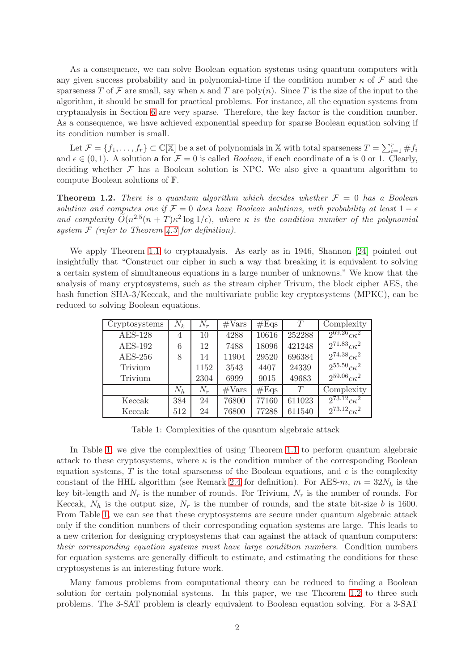As a consequence, we can solve Boolean equation systems using quantum computers with any given success probability and in polynomial-time if the condition number  $\kappa$  of  $\mathcal F$  and the sparseness T of F are small, say when  $\kappa$  and T are poly $(n)$ . Since T is the size of the input to the algorithm, it should be small for practical problems. For instance, all the equation systems from cryptanalysis in Section [6](#page-17-0) are very sparse. Therefore, the key factor is the condition number. As a consequence, we have achieved exponential speedup for sparse Boolean equation solving if its condition number is small.

Let  $\mathcal{F} = \{f_1, \ldots, f_r\} \subset \mathbb{C}[\mathbb{X}]$  be a set of polynomials in X with total sparseness  $T = \sum_{i=1}^r \#f_i$ and  $\epsilon \in (0,1)$ . A solution **a** for  $\mathcal{F} = 0$  is called *Boolean*, if each coordinate of **a** is 0 or 1. Clearly, deciding whether  $\mathcal F$  has a Boolean solution is NPC. We also give a quantum algorithm to compute Boolean solutions of F.

<span id="page-1-1"></span>**Theorem 1.2.** There is a quantum algorithm which decides whether  $\mathcal{F} = 0$  has a Boolean solution and computes one if  $\mathcal{F} = 0$  does have Boolean solutions, with probability at least  $1 - \epsilon$ and complexity  $\tilde{O}(n^{2.5}(n+T)\kappa^2 \log 1/\epsilon)$ , where  $\kappa$  is the condition number of the polynomial system  $F$  (refer to Theorem [4.3](#page-10-0) for definition).

We apply Theorem [1.1](#page-0-0) to cryptanalysis. As early as in 1946, Shannon [\[24\]](#page-23-0) pointed out insightfully that "Construct our cipher in such a way that breaking it is equivalent to solving a certain system of simultaneous equations in a large number of unknowns." We know that the analysis of many cryptosystems, such as the stream cipher Trivum, the block cipher AES, the hash function SHA-3/Keccak, and the multivariate public key cryptosystems (MPKC), can be reduced to solving Boolean equations.

| Cryptosystems  | $N_k$ | $N_r$ | $\#\text{Vars}$ | #Eqs  | T      | Complexity                  |
|----------------|-------|-------|-----------------|-------|--------|-----------------------------|
| <b>AES-128</b> | 4     | 10    | 4288            | 10616 | 252288 | $2^{69.26} c \kappa^2$      |
| <b>AES-192</b> | 6     | 12    | 7488            | 18096 | 421248 | $2^{71.83}c\kappa^2$        |
| $AES-256$      | 8     | 14    | 11904           | 29520 | 696384 | $2^{74.38}c\kappa^2$        |
| Trivium        |       | 1152  | 3543            | 4407  | 24339  | $2^{55.50}$ ck <sup>2</sup> |
| Trivium        |       | 2304  | 6999            | 9015  | 49683  | $2^{59.06}$ ck <sup>2</sup> |
|                | $N_h$ | $N_r$ | $\#\text{Vars}$ | #Eqs  | T      | Complexity                  |
| Keccak         | 384   | 24    | 76800           | 77160 | 611023 | $2^{73.12} c \kappa^2$      |
| Keccak         | 512   | 24    | 76800           | 77288 | 611540 | $2^{73.12}c\kappa^2$        |

<span id="page-1-0"></span>Table 1: Complexities of the quantum algebraic attack

In Table [1,](#page-1-0) we give the complexities of using Theorem [1.1](#page-0-0) to perform quantum algebraic attack to these cryptosystems, where  $\kappa$  is the condition number of the corresponding Boolean equation systems,  $T$  is the total sparseness of the Boolean equations, and  $c$  is the complexity constant of the HHL algorithm (see Remark [2.4](#page-4-0) for definition). For AES-m,  $m = 32N_k$  is the key bit-length and  $N_r$  is the number of rounds. For Trivium,  $N_r$  is the number of rounds. For Keccak,  $N_h$  is the output size,  $N_r$  is the number of rounds, and the state bit-size b is 1600. From Table [1,](#page-1-0) we can see that these cryptosystems are secure under quantum algebraic attack only if the condition numbers of their corresponding equation systems are large. This leads to a new criterion for designing cryptosystems that can against the attack of quantum computers: their corresponding equation systems must have large condition numbers. Condition numbers for equation systems are generally difficult to estimate, and estimating the conditions for these cryptosystems is an interesting future work.

Many famous problems from computational theory can be reduced to finding a Boolean solution for certain polynomial systems. In this paper, we use Theorem [1.2](#page-1-1) to three such problems. The 3-SAT problem is clearly equivalent to Boolean equation solving. For a 3-SAT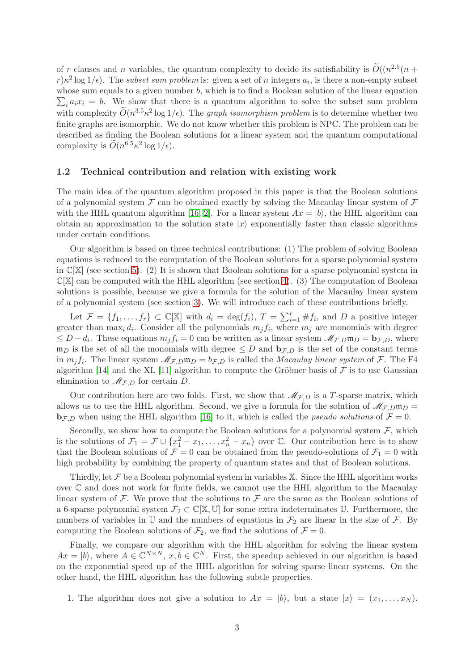of r clauses and n variables, the quantum complexity to decide its satisfiability is  $\tilde{O}((n^{2.5}(n +$  $r) \kappa^2 \log 1/\epsilon$ ). The subset sum problem is: given a set of n integers  $a_i$ , is there a non-empty subset whose sum equals to a given number b, which is to find a Boolean solution of the linear equation  $\sum_i a_i x_i = b$ . We show that there is a quantum algorithm to solve the subset sum problem with complexity  $\widetilde{O}(n^{3.5} \kappa^2 \log 1/\epsilon)$ . The *graph isomorphism problem* is to determine whether two finite graphs are isomorphic. We do not know whether this problem is NPC. The problem can be described as finding the Boolean solutions for a linear system and the quantum computational complexity is  $\tilde{O}(n^{6.5} \kappa^2 \log 1/\epsilon)$ .

#### 1.2 Technical contribution and relation with existing work

The main idea of the quantum algorithm proposed in this paper is that the Boolean solutions of a polynomial system  $\mathcal F$  can be obtained exactly by solving the Macaulay linear system of  $\mathcal F$ with the HHL quantum algorithm [\[16,](#page-23-1) [2\]](#page-22-0). For a linear system  $Ax = |b\rangle$ , the HHL algorithm can obtain an approximation to the solution state  $|x\rangle$  exponentially faster than classic algorithms under certain conditions.

Our algorithm is based on three technical contributions: (1) The problem of solving Boolean equations is reduced to the computation of the Boolean solutions for a sparse polynomial system in  $\mathbb{C}[\mathbb{X}]$  (see section [5\)](#page-13-0). (2) It is shown that Boolean solutions for a sparse polynomial system in  $\mathbb{C}[\mathbb{X}]$  can be computed with the HHL algorithm (see section [4\)](#page-9-0). (3) The computation of Boolean solutions is possible, because we give a formula for the solution of the Macaulay linear system of a polynomial system (see section [3\)](#page-5-0). We will introduce each of these contributions briefly.

Let  $\mathcal{F} = \{f_1, \ldots, f_r\} \subset \mathbb{C}[\mathbb{X}]$  with  $d_i = \deg(f_i), T = \sum_{i=1}^r \#f_i$ , and D a positive integer greater than  $\max_i d_i$ . Consider all the polynomials  $m_j f_i$ , where  $m_j$  are monomials with degree  $\leq D - d_i$ . These equations  $m_j f_i = 0$  can be written as a linear system  $\mathscr{M}_{\mathcal{F},D} \mathfrak{m}_D = \mathbf{b}_{\mathcal{F},D}$ , where  $\mathfrak{m}_D$  is the set of all the monomials with degree  $\leq D$  and  $\mathbf{b}_{\mathcal{F},D}$  is the set of the constant terms in  $m_j f_i$ . The linear system  $M_{\mathcal{F},D} \mathfrak{m}_D = b_{\mathcal{F},D}$  is called the *Macaulay linear system* of  $\mathcal{F}$ . The F4 algorithm [\[14\]](#page-23-2) and the XL [\[11\]](#page-22-1) algorithm to compute the Gröbner basis of  $\mathcal F$  is to use Gaussian elimination to  $\mathcal{M}_{F,D}$  for certain D.

Our contribution here are two folds. First, we show that  $\mathcal{M}_{F,D}$  is a T-sparse matrix, which allows us to use the HHL algorithm. Second, we give a formula for the solution of  $\mathcal{M}_{F,D}$ m $_D$  = **<sub>F,D</sub> when using the HHL algorithm [\[16\]](#page-23-1) to it, which is called the** *pseudo solutions* **of**  $\mathcal{F} = 0$ **.** 

Secondly, we show how to compute the Boolean solutions for a polynomial system  $\mathcal{F}$ , which is the solutions of  $\mathcal{F}_1 = \mathcal{F} \cup \{x_1^2 - x_1, \ldots, x_n^2 - x_n\}$  over  $\mathbb{C}$ . Our contribution here is to show that the Boolean solutions of  $\mathcal{F} = 0$  can be obtained from the pseudo-solutions of  $\mathcal{F}_1 = 0$  with high probability by combining the property of quantum states and that of Boolean solutions.

Thirdly, let  $\mathcal F$  be a Boolean polynomial system in variables  $\mathbb X$ . Since the HHL algorithm works over C and does not work for finite fields, we cannot use the HHL algorithm to the Macaulay linear system of  $\mathcal F$ . We prove that the solutions to  $\mathcal F$  are the same as the Boolean solutions of a 6-sparse polynomial system  $\mathcal{F}_2 \subset \mathbb{C}[\mathbb{X}, \mathbb{U}]$  for some extra indeterminates U. Furthermore, the numbers of variables in U and the numbers of equations in  $\mathcal{F}_2$  are linear in the size of  $\mathcal{F}$ . By computing the Boolean solutions of  $\mathcal{F}_2$ , we find the solutions of  $\mathcal{F} = 0$ .

Finally, we compare our algorithm with the HHL algorithm for solving the linear system  $Ax = |b\rangle$ , where  $A \in \mathbb{C}^{N \times N}$ ,  $x, b \in \mathbb{C}^{N}$ . First, the speedup achieved in our algorithm is based on the exponential speed up of the HHL algorithm for solving sparse linear systems. On the other hand, the HHL algorithm has the following subtle properties.

1. The algorithm does not give a solution to  $Ax = |b\rangle$ , but a state  $|x\rangle = (x_1, \ldots, x_N)$ .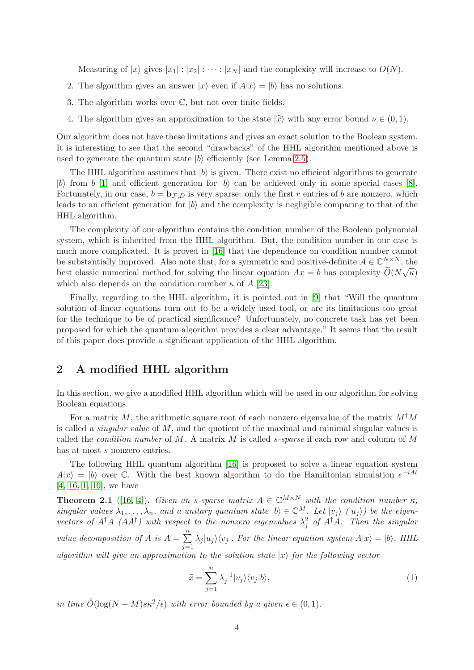Measuring of  $|x\rangle$  gives  $|x_1| : |x_2| : \cdots : |x_N|$  and the complexity will increase to  $O(N)$ .

- 2. The algorithm gives an answer  $|x\rangle$  even if  $A|x\rangle = |b\rangle$  has no solutions.
- 3. The algorithm works over C, but not over finite fields.
- 4. The algorithm gives an approximation to the state  $|\hat{x}\rangle$  with any error bound  $\nu \in (0, 1)$ .

Our algorithm does not have these limitations and gives an exact solution to the Boolean system. It is interesting to see that the second "drawbacks" of the HHL algorithm mentioned above is used to generate the quantum state  $|b\rangle$  efficiently (see Lemma [2.5\)](#page-4-1).

The HHL algorithm assumes that  $|b\rangle$  is given. There exist no efficient algorithms to generate |b| from b |1| and efficient generation for  $|b\rangle$  can be achieved only in some special cases [\[8\]](#page-22-3). Fortunately, in our case,  $b = \mathbf{b}_{F,D}$  is very sparse: only the first r entries of b are nonzero, which leads to an efficient generation for  $|b\rangle$  and the complexity is negligible comparing to that of the HHL algorithm.

The complexity of our algorithm contains the condition number of the Boolean polynomial system, which is inherited from the HHL algorithm. But, the condition number in our case is much more complicated. It is proved in [\[16\]](#page-23-1) that the dependence on condition number cannot be substantially improved. Also note that, for a symmetric and positive-definite  $A \in \mathbb{C}^{N \times N}$ , the best classic numerical method for solving the linear equation  $Ax = b$  has complexity  $\widetilde{O}(N\sqrt{\kappa})$ which also depends on the condition number  $\kappa$  of A [\[23\]](#page-23-3).

Finally, regarding to the HHL algorithm, it is pointed out in [\[9\]](#page-22-4) that "Will the quantum solution of linear equations turn out to be a widely used tool, or are its limitations too great for the technique to be of practical significance? Unfortunately, no concrete task has yet been proposed for which the quantum algorithm provides a clear advantage." It seems that the result of this paper does provide a significant application of the HHL algorithm.

# 2 A modified HHL algorithm

In this section, we give a modified HHL algorithm which will be used in our algorithm for solving Boolean equations.

For a matrix M, the arithmetic square root of each nonzero eigenvalue of the matrix  $M^{\dagger}M$ is called a *singular value* of  $M$ , and the quotient of the maximal and minimal singular values is called the *condition number* of  $M$ . A matrix  $M$  is called *s*-sparse if each row and column of  $M$ has at most s nonzero entries.

The following HHL quantum algorithm [\[16\]](#page-23-1) is proposed to solve a linear equation system  $A|x\rangle = |b\rangle$  over C. With the best known algorithm to do the Hamiltonian simulation  $e^{-iAt}$ [\[4,](#page-22-5) [16,](#page-23-1) [1,](#page-22-2) [10\]](#page-22-6), we have

<span id="page-3-1"></span>**Theorem 2.1** ([\[16,](#page-23-1) [4\]](#page-22-5)). Given an s-sparse matrix  $A \in \mathbb{C}^{M \times N}$  with the condition number  $\kappa$ . singular values  $\lambda_1, \ldots, \lambda_n$ , and a unitary quantum state  $|b\rangle \in \mathbb{C}^M$ . Let  $|v_j\rangle$   $(|u_j\rangle)$  be the eigenvectors of  $A^{\dagger}A$  ( $AA^{\dagger}$ ) with respect to the nonzero eigenvalues  $\lambda_j^2$  of  $A^{\dagger}A$ . Then the singular value decomposition of A is  $A = \sum_{n=1}^{\infty} A_n$  $\sum_{j=1} \lambda_j |u_j\rangle\langle v_j|$ . For the linear equation system  $A|x\rangle = |b\rangle$ , HHL algorithm will give an approximation to the solution state  $|x\rangle$  for the following vector

<span id="page-3-0"></span>
$$
\widetilde{x} = \sum_{j=1}^{n} \lambda_j^{-1} |v_j\rangle\langle v_j|b\rangle,\tag{1}
$$

in time  $\tilde{O}(\log(N + M)s\kappa^2/\epsilon)$  with error bounded by a given  $\epsilon \in (0, 1)$ .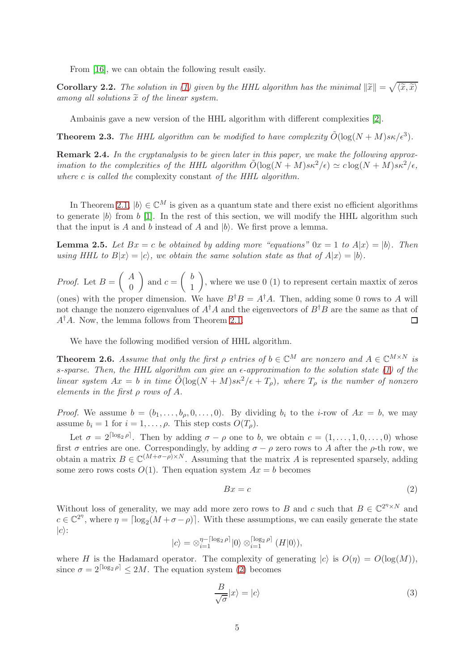From [\[16\]](#page-23-1), we can obtain the following result easily.

<span id="page-4-5"></span>**Corollary 2.2.** The solution in [\(1\)](#page-3-0) given by the HHL algorithm has the minimal  $\|\tilde{x}\| = \sqrt{\langle \tilde{x}, \tilde{x} \rangle}$ among all solutions  $\tilde{x}$  of the linear system.

Ambainis gave a new version of the HHL algorithm with different complexities [\[2\]](#page-22-0).

**Theorem 2.3.** The HHL algorithm can be modified to have complexity  $\tilde{O}(\log(N + M)s\kappa/\epsilon^3)$ .

<span id="page-4-0"></span>Remark 2.4. In the cryptanalysis to be given later in this paper, we make the following approximation to the complexities of the HHL algorithm  $\tilde{O}(\log(N+M)s\kappa^2/\epsilon) \simeq c\log(N+M)s\kappa^2/\epsilon$ , where c is called the complexity constant of the HHL algorithm.

In Theorem [2.1,](#page-3-1)  $|b\rangle \in \mathbb{C}^{M}$  is given as a quantum state and there exist no efficient algorithms to generate  $|b\rangle$  from b [\[1\]](#page-22-2). In the rest of this section, we will modify the HHL algorithm such that the input is A and b instead of A and  $|b\rangle$ . We first prove a lemma.

<span id="page-4-1"></span>**Lemma 2.5.** Let  $Bx = c$  be obtained by adding more "equations"  $0x = 1$  to  $A|x| = |b|$ . Then using HHL to  $B|x\rangle = |c\rangle$ , we obtain the same solution state as that of  $A|x\rangle = |b\rangle$ .

 $\int A$  $\setminus$  $\int b$  $\setminus$ *Proof.* Let  $B =$ and  $c =$ , where we use 0 (1) to represent certain maxtix of zeros  $\theta$ 1 (ones) with the proper dimension. We have  $B^{\dagger}B = A^{\dagger}A$ . Then, adding some 0 rows to A will not change the nonzero eigenvalues of  $A^{\dagger}A$  and the eigenvectors of  $B^{\dagger}B$  are the same as that of  $A^{\dagger}A$ . Now, the lemma follows from Theorem [2.1.](#page-3-1)  $\Box$ 

We have the following modified version of HHL algorithm.

<span id="page-4-4"></span>**Theorem 2.6.** Assume that only the first  $\rho$  entries of  $b \in \mathbb{C}^M$  are nonzero and  $A \in \mathbb{C}^{M \times N}$  is s-sparse. Then, the HHL algorithm can give an  $\epsilon$ -approximation to the solution state [\(1\)](#page-3-0) of the linear system  $Ax = b$  in time  $\tilde{O}(\log(N + M)s\kappa^2/\epsilon + T_o)$ , where  $T_o$  is the number of nonzero elements in the first  $\rho$  rows of  $A$ .

*Proof.* We assume  $b = (b_1, \ldots, b_{\rho}, 0, \ldots, 0)$ . By dividing  $b_i$  to the *i*-row of  $Ax = b$ , we may assume  $b_i = 1$  for  $i = 1, \ldots, \rho$ . This step costs  $O(T_\rho)$ .

Let  $\sigma = 2^{\lceil \log_2 \rho \rceil}$ . Then by adding  $\sigma - \rho$  one to b, we obtain  $c = (1, \ldots, 1, 0, \ldots, 0)$  whose first  $\sigma$  entries are one. Correspondingly, by adding  $\sigma - \rho$  zero rows to A after the  $\rho$ -th row, we obtain a matrix  $B \in \mathbb{C}^{(M+\sigma-\rho)\times N}$ . Assuming that the matrix A is represented sparsely, adding some zero rows costs  $O(1)$ . Then equation system  $Ax = b$  becomes

<span id="page-4-2"></span>
$$
Bx = c \tag{2}
$$

Without loss of generality, we may add more zero rows to B and c such that  $B \in \mathbb{C}^{2^{\eta} \times N}$  and  $c \in \mathbb{C}^{2^n}$ , where  $\eta = \lceil \log_2(M + \sigma - \rho) \rceil$ . With these assumptions, we can easily generate the state  $|c\rangle$ :

$$
|c\rangle = \otimes_{i=1}^{\eta - \lceil \log_2 \rho \rceil} |0\rangle \otimes_{i=1}^{\lceil \log_2 \rho \rceil} (H |0\rangle),
$$

where H is the Hadamard operator. The complexity of generating  $|c\rangle$  is  $O(\eta) = O(\log(M)),$ since  $\sigma = 2^{\lceil \log_2 \rho \rceil} \leq 2M$ . The equation system [\(2\)](#page-4-2) becomes

<span id="page-4-3"></span>
$$
\frac{B}{\sqrt{\sigma}}|x\rangle = |c\rangle\tag{3}
$$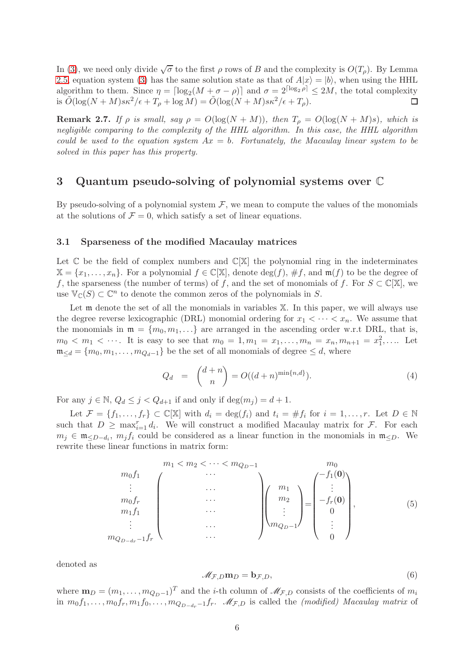In [\(3\)](#page-4-3), we need only divide  $\sqrt{\sigma}$  to the first  $\rho$  rows of B and the complexity is  $O(T_\rho)$ . By Lemma [2.5,](#page-4-1) equation system [\(3\)](#page-4-3) has the same solution state as that of  $A|x\rangle = |b\rangle$ , when using the HHL algorithm to them. Since  $\eta = \lceil \log_2(M + \sigma - \rho) \rceil$  and  $\sigma = 2^{\lceil \log_2 \rho \rceil} \leq 2M$ , the total complexity is  $\tilde{O}(\log(N+M)s\kappa^2/\epsilon+T_\rho+\log M)=\tilde{O}(\log(N+M)s\kappa^2/\epsilon+T_\rho).$ 

**Remark 2.7.** If  $\rho$  is small, say  $\rho = O(\log(N + M))$ , then  $T_{\rho} = O(\log(N + M)s)$ , which is negligible comparing to the complexity of the HHL algorithm. In this case, the HHL algorithm could be used to the equation system  $Ax = b$ . Fortunately, the Macaulay linear system to be solved in this paper has this property.

# <span id="page-5-0"></span>3 Quantum pseudo-solving of polynomial systems over C

By pseudo-solving of a polynomial system  $\mathcal{F}$ , we mean to compute the values of the monomials at the solutions of  $\mathcal{F} = 0$ , which satisfy a set of linear equations.

#### 3.1 Sparseness of the modified Macaulay matrices

Let  $\mathbb C$  be the field of complex numbers and  $\mathbb C[\mathbb X]$  the polynomial ring in the indeterminates  $\mathbb{X} = \{x_1, \ldots, x_n\}.$  For a polynomial  $f \in \mathbb{C}[\mathbb{X}],$  denote  $\deg(f), \#f$ , and  $\mathfrak{m}(f)$  to be the degree of f, the sparseness (the number of terms) of f, and the set of monomials of f. For  $S \subset \mathbb{C}[\mathbb{X}]$ , we use  $\mathbb{V}_{\mathbb{C}}(S) \subset \mathbb{C}^n$  to denote the common zeros of the polynomials in S.

Let m denote the set of all the monomials in variables  $X$ . In this paper, we will always use the degree reverse lexicographic (DRL) monomial ordering for  $x_1 < \cdots < x_n$ . We assume that the monomials in  $\mathfrak{m} = \{m_0, m_1, \ldots\}$  are arranged in the ascending order w.r.t DRL, that is,  $m_0 < m_1 < \cdots$ . It is easy to see that  $m_0 = 1, m_1 = x_1, \ldots, m_n = x_n, m_{n+1} = x_1^2, \ldots$ . Let  $\mathfrak{m}_{\leq d} = \{m_0, m_1, \ldots, m_{Q_d-1}\}\$  be the set of all monomials of degree  $\leq d$ , where

<span id="page-5-3"></span>
$$
Q_d = \binom{d+n}{n} = O((d+n)^{\min\{n,d\}}). \tag{4}
$$

For any  $j \in \mathbb{N}$ ,  $Q_d \leq j < Q_{d+1}$  if and only if  $\deg(m_i) = d+1$ .

Let  $\mathcal{F} = \{f_1, \ldots, f_r\} \subset \mathbb{C}[\mathbb{X}]$  with  $d_i = \deg(f_i)$  and  $t_i = \#f_i$  for  $i = 1, \ldots, r$ . Let  $D \in \mathbb{N}$ such that  $D \ge \max_{i=1}^r d_i$ . We will construct a modified Macaulay matrix for F. For each  $m_j \in \mathfrak{m}_{\leq D-d_i}$ ,  $m_j f_i$  could be considered as a linear function in the monomials in  $\mathfrak{m}_{\leq D}$ . We rewrite these linear functions in matrix form:

<span id="page-5-2"></span>
$$
m_{0}f_{1} \n\begin{array}{c}\nm_{1} < m_{2} < \cdots < m_{Q_{D}-1} \\
\vdots & \vdots & \vdots \\
m_{0}f_{r} \n\vdots & \vdots \\
m_{1}f_{1} \n\end{array}\n\begin{array}{c}\nm_{2} \n\end{array}\n\begin{array}{c}\nm_{1} \n\end{array}\n\begin{array}{c}\nm_{0} \n\end{array}\n\begin{array}{c}\nm_{0} \n\end{array}\n\begin{array}{c}\nm_{1} \n\end{array}\n\begin{array}{c}\nm_{2} \n\end{array}\n\begin{array}{c}\nm_{1} \n\end{array}\n\begin{array}{c}\nm_{2} \n\end{array}\n\begin{array}{c}\nm_{2} \n\end{array}\n\begin{array}{c}\nm_{1} \n\end{array}\n\begin{array}{c}\nm_{2} \n\end{array}\n\begin{array}{c}\nm_{1} \n\end{array}\n\begin{array}{c}\nm_{2} \n\end{array}\n\end{array}
$$
\n(5)

denoted as

<span id="page-5-1"></span>
$$
\mathcal{M}_{\mathcal{F},D}\mathbf{m}_D = \mathbf{b}_{\mathcal{F},D},\tag{6}
$$

where  $\mathbf{m}_D = (m_1, \ldots, m_{Q_D-1})^T$  and the *i*-th column of  $\mathcal{M}_{\mathcal{F},D}$  consists of the coefficients of  $m_i$ in  $m_0f_1, \ldots, m_0f_r, m_1f_0, \ldots, m_{Q_{D-dr}-1}f_r$ .  $\mathscr{M}_{\mathcal{F},D}$  is called the *(modified)* Macaulay matrix of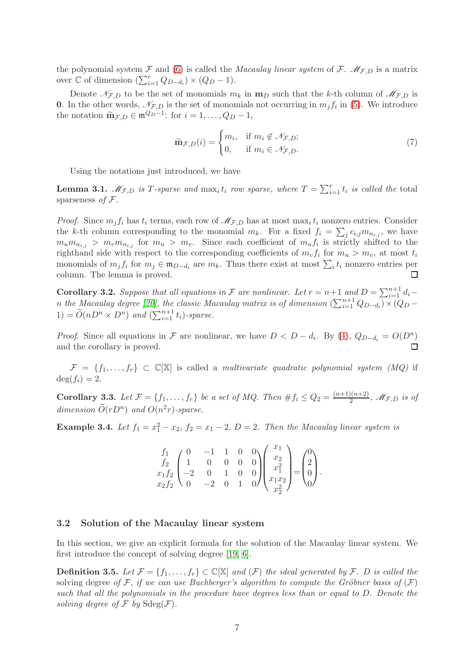the polynomial system F and [\(6\)](#page-5-1) is called the Macaulay linear system of F.  $\mathcal{M}_{F,D}$  is a matrix over ℂ of dimension  $(\sum_{i=1}^{r} Q_{D-d_i}) \times (Q_D - 1)$ .

Denote  $\mathcal{N}_{\mathcal{F},D}$  to be the set of monomials  $m_k$  in  $\mathbf{m}_D$  such that the k-th column of  $\mathcal{M}_{\mathcal{F},D}$  is **0.** In the other words,  $\mathcal{N}_{F,D}$  is the set of monomials not occurring in  $m_j f_i$  in [\(5\)](#page-5-2). We introduce the notation  $\widetilde{\mathbf{m}}_{\mathcal{F},D} \in \mathfrak{m}^{Q_D-1}$ : for  $i = 1, \ldots, Q_D - 1$ ,

$$
\widetilde{\mathbf{m}}_{\mathcal{F},D}(i) = \begin{cases} m_i, & \text{if } m_i \notin \mathcal{N}_{\mathcal{F},D}; \\ 0, & \text{if } m_i \in \mathcal{N}_{\mathcal{F},D}. \end{cases}
$$
\n(7)

Using the notations just introduced, we have

**Lemma 3.1.**  $M_{\mathcal{F},D}$  is T-sparse and  $\max_i t_i$  row sparse, where  $T = \sum_{i=1}^r t_i$  is called the total sparseness of  $F$ .

*Proof.* Since  $m_j f_i$  has  $t_i$  terms, each row of  $\mathcal{M}_{\mathcal{F},D}$  has at most max<sub>i</sub>  $t_i$  nonzero entries. Consider the k-th column corresponding to the monomial  $m_k$ . For a fixed  $f_i = \sum_j c_{i,j} m_{n_{i,j}}$ , we have  $m_u m_{n_{i,j}} > m_v m_{n_{i,j}}$  for  $m_u > m_v$ . Since each coefficient of  $m_u f_i$  is strictly shifted to the righthand side with respect to the corresponding coefficients of  $m_v f_i$  for  $m_u > m_v$ , at most  $t_i$ monomials of  $m_j f_i$  for  $m_j \in \mathfrak{m}_{D-d_i}$  are  $m_k$ . Thus there exist at most  $\sum_i t_i$  nonzero entries per column. The lemma is proved. □

**Corollary 3.2.** Suppose that all equations in F are nonlinear. Let  $r = n+1$  and  $D = \sum_{i=1}^{n+1} d_i$ n the Macaulay degree [\[20\]](#page-23-4), the classic Macaulay matrix is of dimension  $(\sum_{i=1}^{n+1} Q_{D-d_i}) \times (Q_D 1) = \widetilde{O}(nD^n \times D^n)$  and  $(\sum_{i=1}^{n+1} t_i)$ -sparse.

*Proof.* Since all equations in F are nonlinear, we have  $D < D - d_i$ . By [\(4\)](#page-5-3),  $Q_{D-d_i} = O(D^n)$ and the corollary is proved.

 $\mathcal{F} = \{f_1, \ldots, f_r\} \subset \mathbb{C}[\mathbb{X}]$  is called a multivariate quadratic polynomial system (MQ) if  $deg(f_i) = 2.$ 

**Corollary 3.3.** Let  $\mathcal{F} = \{f_1, \ldots, f_r\}$  be a set of MQ. Then  $\#f_i \leq Q_2 = \frac{(n+1)(n+2)}{2}$  $\frac{2(n+2)}{2}$ , M $_{\mathcal{F},D}$  is of dimension  $\tilde{O}(rD^n)$  and  $O(n^2r)$ -sparse.

<span id="page-6-0"></span>**Example 3.4.** Let  $f_1 = x_1^2 - x_2$ ,  $f_2 = x_1 - 2$ ,  $D = 2$ . Then the Macaulay linear system is

$$
\begin{pmatrix}\nf_1 & 0 & -1 & 1 & 0 & 0 \\
f_2 & 1 & 0 & 0 & 0 & 0 \\
x_1 f_2 & -2 & 0 & 1 & 0 & 0 \\
x_2 f_2 & 0 & -2 & 0 & 1 & 0\n\end{pmatrix}\n\begin{pmatrix}\nx_1 \\
x_2 \\
x_1^2 \\
x_1 x_2 \\
x_2^2\n\end{pmatrix} =\n\begin{pmatrix}\n0 \\
2 \\
0 \\
0\n\end{pmatrix}.
$$

#### 3.2 Solution of the Macaulay linear system

In this section, we give an explicit formula for the solution of the Macaulay linear system. We first introduce the concept of solving degree [\[19,](#page-23-5) [6\]](#page-22-7).

**Definition 3.5.** Let  $\mathcal{F} = \{f_1, \ldots, f_r\} \subset \mathbb{C}[\mathbb{X}]$  and  $(\mathcal{F})$  the ideal generated by  $\mathcal{F}$ . D is called the solving degree of F, if we can use Buchberger's algorithm to compute the Gröbner basis of  $(F)$ such that all the polynomials in the procedure have degrees less than or equal to D. Denote the solving degree of  $\mathcal F$  by  $\text{Sdeg}(\mathcal F)$ .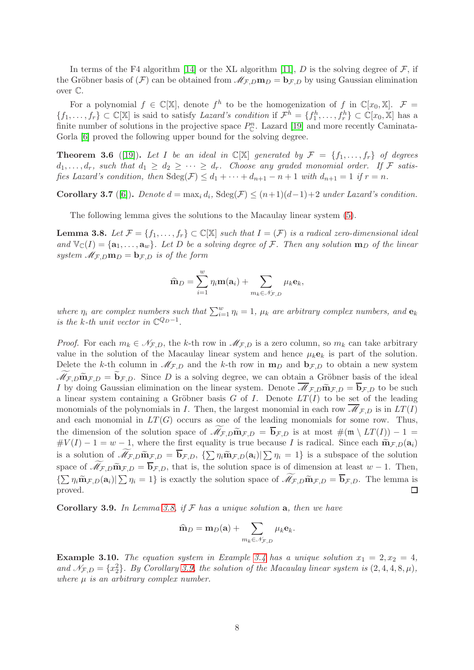In terms of the F4 algorithm [\[14\]](#page-23-2) or the XL algorithm [\[11\]](#page-22-1), D is the solving degree of  $\mathcal{F}$ , if the Gröbner basis of  $(F)$  can be obtained from  $\mathcal{M}_{F,D}$ **m** $_D = \mathbf{b}_{F,D}$  by using Gaussian elimination over C.

For a polynomial  $f \in \mathbb{C}[\mathbb{X}]$ , denote  $f^h$  to be the homogenization of  $f$  in  $\mathbb{C}[x_0, \mathbb{X}]$ .  $\mathcal{F} =$  $\{f_1,\ldots,f_r\}\subset\mathbb{C}[\mathbb{X}]$  is said to satisfy Lazard's condition if  $\mathcal{F}^h=\{f_1^h,\ldots,f_r^h\}\subset\mathbb{C}[x_0,\mathbb{X}]$  has a finite number of solutions in the projective space  $P_{\mathbb{C}}^n$ . Lazard [\[19\]](#page-23-5) and more recently Caminata-Gorla  $[6]$  proved the following upper bound for the solving degree.

<span id="page-7-3"></span>**Theorem 3.6** ([\[19\]](#page-23-5)). Let I be an ideal in  $\mathbb{C}[\mathbb{X}]$  generated by  $\mathcal{F} = \{f_1, \ldots, f_r\}$  of degrees  $d_1, \ldots, d_r$ , such that  $d_1 \geq d_2 \geq \cdots \geq d_r$ . Choose any graded monomial order. If F satisfies Lazard's condition, then  $\text{Sdeg}(\mathcal{F}) \leq d_1 + \cdots + d_{n+1} - n + 1$  with  $d_{n+1} = 1$  if  $r = n$ .

<span id="page-7-2"></span>**Corollary 3.7** ([\[6\]](#page-22-7)). Denote  $d = \max_i d_i$ ,  $\text{Sdeg}(\mathcal{F}) \leq (n+1)(d-1)+2$  under Lazard's condition.

The following lemma gives the solutions to the Macaulay linear system [\(5\)](#page-5-2).

<span id="page-7-0"></span>**Lemma 3.8.** Let  $\mathcal{F} = \{f_1, \ldots, f_r\} \subset \mathbb{C}[\mathbb{X}]$  such that  $I = (\mathcal{F})$  is a radical zero-dimensional ideal and  $\mathbb{V}_{\mathbb{C}}(I) = \{\mathbf{a}_1, \dots, \mathbf{a}_w\}$ . Let D be a solving degree of F. Then any solution  $\mathbf{m}_D$  of the linear system  $\mathcal{M}_{F,D}$ **m** $_D$  = **b** $_{F,D}$  is of the form

$$
\widehat{\mathbf{m}}_D = \sum_{i=1}^w \eta_i \mathbf{m}(\mathbf{a}_i) + \sum_{m_k \in \mathcal{N}_{\mathcal{F},D}} \mu_k \mathbf{e}_k,
$$

where  $\eta_i$  are complex numbers such that  $\sum_{i=1}^w \eta_i = 1$ ,  $\mu_k$  are arbitrary complex numbers, and  $\mathbf{e}_k$ is the k-th unit vector in  $\mathbb{C}^{Q_D-1}$ .

*Proof.* For each  $m_k \in \mathcal{N}_{F,D}$ , the k-th row in  $\mathcal{M}_{F,D}$  is a zero column, so  $m_k$  can take arbitrary value in the solution of the Macaulay linear system and hence  $\mu_k e_k$  is part of the solution. Delete the k-th column in  $\mathcal{M}_{F,D}$  and the k-th row in  $\mathbf{m}_D$  and  $\mathbf{b}_{F,D}$  to obtain a new system  $M_{\mathcal{F},D}$  $\widetilde{\mathbf{m}}_{\mathcal{F},D} = \widetilde{\mathbf{b}}_{\mathcal{F},D}$ . Since D is a solving degree, we can obtain a Gröbner basis of the ideal I by doing Gaussian elimination on the linear system. Denote  $\overline{\mathscr{M}}_{\mathcal{F},D}$   $\widetilde{\mathbf{m}}_{\mathcal{F},D} = \overline{\mathbf{b}}_{\mathcal{F},D}$  to be such a linear system containing a Gröbner basis  $G$  of  $I$ . Denote  $LT(I)$  to be set of the leading monomials of the polynomials in I. Then, the largest monomial in each row  $\overline{\mathcal{M}}_{\mathcal{F},D}$  is in  $LT(I)$ and each monomial in  $LT(G)$  occurs as one of the leading monomials for some row. Thus, the dimension of the solution space of  $\mathscr{M}_{\mathcal{F},D}$   $\widetilde{\mathbf{m}}_{\mathcal{F},D} = \overline{\mathbf{b}}_{\mathcal{F},D}$  is at most  $\#(\mathfrak{m} \setminus LT(I)) - 1 =$  $\#V(I)-1=w-1$ , where the first equality is true because I is radical. Since each  $\widetilde{\mathbf{m}}_{\mathcal{F},D}(\mathbf{a}_i)$ is a solution of  $\widetilde{\mathcal{M}}_{\mathcal{F},D}$   $\widetilde{\mathbf{m}}_{\mathcal{F},D} = \overline{\mathbf{b}}_{\mathcal{F},D}, \{\sum \eta_i \widetilde{\mathbf{m}}_{\mathcal{F},D}(\mathbf{a}_i) | \sum \eta_i = 1\}$  is a subspace of the solution space of  $\mathcal{M}_{\mathcal{F},D}$  $\widetilde{\mathbf{m}}_{\mathcal{F},D} = \overline{\mathbf{b}}_{\mathcal{F},D}$ , that is, the solution space is of dimension at least  $w - 1$ . Then,  $\{\sum \eta_i \widetilde{\mathbf{m}}_{\mathcal{F},D}(\mathbf{a}_i) | \sum \eta_i = 1\}$  is exactly the solution space of  $\widetilde{\mathcal{M}}_{\mathcal{F},D} \widetilde{\mathbf{m}}_{\mathcal{F},D} = \overline{\mathbf{b}}_{\mathcal{F},D}$ . The lemma is proved.

<span id="page-7-1"></span>Corollary 3.9. In Lemma [3.8,](#page-7-0) if  $F$  has a unique solution a, then we have

$$
\widehat{\mathbf{m}}_D = \mathbf{m}_D(\mathbf{a}) + \sum_{m_k \in \mathcal{N}_{\mathcal{F},D}} \mu_k \mathbf{e}_k.
$$

**Example 3.10.** The equation system in Example [3.4](#page-6-0) has a unique solution  $x_1 = 2, x_2 = 4$ , and  $\mathcal{N}_{\mathcal{F},D} = \{x_2^2\}$ . By Corollary [3.9,](#page-7-1) the solution of the Macaulay linear system is  $(2, 4, 4, 8, \mu)$ , where  $\mu$  is an arbitrary complex number.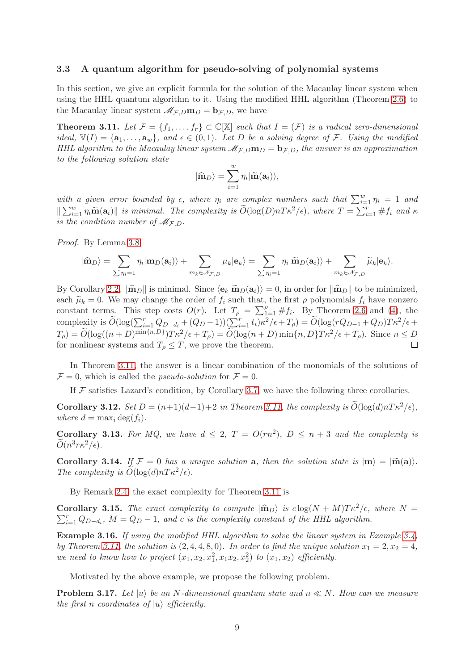#### 3.3 A quantum algorithm for pseudo-solving of polynomial systems

In this section, we give an explicit formula for the solution of the Macaulay linear system when using the HHL quantum algorithm to it. Using the modified HHL algorithm (Theorem [2.6\)](#page-4-4) to the Macaulay linear system  $\mathcal{M}_{F,D}$ **m** $_D$  = **b** $_{F,D}$ , we have

<span id="page-8-0"></span>**Theorem 3.11.** Let  $\mathcal{F} = \{f_1, \ldots, f_r\} \subset \mathbb{C}[\mathbb{X}]$  such that  $I = (\mathcal{F})$  is a radical zero-dimensional ideal,  $\mathbb{V}(I) = {\mathbf{a}_1, \ldots, \mathbf{a}_w}$ , and  $\epsilon \in (0,1)$ . Let D be a solving degree of F. Using the modified HHL algorithm to the Macaulay linear system  $\mathcal{M}_{F,D}$ **m** $_D = \mathbf{b}_{F,D}$ , the answer is an approximation to the following solution state

$$
|\widehat{\mathbf{m}}_D\rangle = \sum_{i=1}^w \eta_i |\widetilde{\mathbf{m}}(\mathbf{a}_i)\rangle,
$$

with a given error bounded by  $\epsilon$ , where  $\eta_i$  are complex numbers such that  $\sum_{i=1}^{w} \eta_i = 1$  and  $\|\sum_{i=1}^w \eta_i \widetilde{\mathbf{m}}(\mathbf{a}_i)\|$  is minimal. The complexity is  $\widetilde{O}(\log(D)nT\kappa^2/\epsilon)$ , where  $T = \sum_{i=1}^r \#f_i$  and  $\kappa$ is the condition number of  $\mathcal{M}_{F,D}$ .

Proof. By Lemma [3.8,](#page-7-0)

$$
|\widehat{\mathbf{m}}_D\rangle = \sum_{\sum \eta_i=1} \eta_i |\mathbf{m}_D(\mathbf{a}_i)\rangle + \sum_{m_k \in \mathcal{N}_{\mathcal{F},D}} \mu_k |\mathbf{e}_k\rangle = \sum_{\sum \eta_i=1} \eta_i |\widetilde{\mathbf{m}}_D(\mathbf{a}_i)\rangle + \sum_{m_k \in \mathcal{N}_{\mathcal{F},D}} \widetilde{\mu}_k |\mathbf{e}_k\rangle.
$$

By Corollary [2.2,](#page-4-5)  $\|\hat{\mathbf{m}}_D\|$  is minimal. Since  $\langle \mathbf{e}_k|\tilde{\mathbf{m}}_D(\mathbf{a}_i)\rangle = 0$ , in order for  $\|\hat{\mathbf{m}}_D\|$  to be minimized, each  $\tilde{\mu}_k = 0$ . We may change the order of  $f_i$  such that, the first  $\rho$  polynomials  $f_i$  have nonzero constant terms. This step costs  $O(r)$ . Let  $T_{\rho} = \sum_{1=1}^{\rho} \# f_i$ . By Theorem [2.6](#page-4-4) and [\(4\)](#page-5-3), the complexity is  $\widetilde{O}(\log(\sum_{i=1}^r Q_{D-d_i} + (Q_D-1))(\sum_{i=1}^r t_i)\kappa^2/\epsilon + T_\rho) = \widetilde{O}(\log(rQ_{D-1} + Q_D)T\kappa^2/\epsilon + T_\rho)$  $T_{\rho}$ ) =  $\widetilde{O}(\log((n+D)^{\min\{n,D\}})T\kappa^2/\epsilon + T_{\rho}) = \widetilde{O}(\log(n+D)\min\{n,D\}T\kappa^2/\epsilon + T_{\rho})$ . Since  $n \le D$ for nonlinear systems and  $T_{\rho} \leq T$ , we prove the theorem.

In Theorem [3.11,](#page-8-0) the answer is a linear combination of the monomials of the solutions of  $\mathcal{F} = 0$ , which is called the *pseudo-solution* for  $\mathcal{F} = 0$ .

If  $\mathcal F$  satisfies Lazard's condition, by Corollary [3.7,](#page-7-2) we have the following three corollaries.

**Corollary 3.12.** Set  $D = (n+1)(d-1)+2$  in Theorem [3.11,](#page-8-0) the complexity is  $O(\log(d)nT\kappa^2/\epsilon)$ , where  $d = \max_i \deg(f_i)$ .

**Corollary 3.13.** For MQ, we have  $d \leq 2$ ,  $T = O(rn^2)$ ,  $D \leq n+3$  and the complexity is  $\widetilde{O}(n^3 r \kappa^2/\epsilon).$ 

Corollary 3.14. If  $\mathcal{F} = 0$  has a unique solution a, then the solution state is  $|m\rangle = |\widetilde{m}(a)\rangle$ . The complexity is  $O(\log(d)nT\kappa^2/\epsilon)$ .

By Remark [2.4,](#page-4-0) the exact complexity for Theorem [3.11](#page-8-0) is

<span id="page-8-1"></span>**Corollary 3.15.** The exact complexity to compute  $|\hat{\mathbf{m}}_D\rangle$  is  $c \log(N + M)T\kappa^2/\epsilon$ , where  $N = \sum_{i=1}^N C_i$  $\sum_{i=1}^{r} Q_{D-d_i}$ ,  $M = Q_D - 1$ , and c is the complexity constant of the HHL algorithm.

Example 3.16. If using the modified HHL algorithm to solve the linear system in Example [3.4,](#page-6-0) by Theorem [3.11,](#page-8-0) the solution is  $(2, 4, 4, 8, 0)$ . In order to find the unique solution  $x_1 = 2, x_2 = 4$ , we need to know how to project  $(x_1, x_2, x_1^2, x_1x_2, x_2^2)$  to  $(x_1, x_2)$  efficiently.

Motivated by the above example, we propose the following problem.

**Problem 3.17.** Let  $|u\rangle$  be an N-dimensional quantum state and  $n \ll N$ . How can we measure the first n coordinates of  $|u\rangle$  efficiently.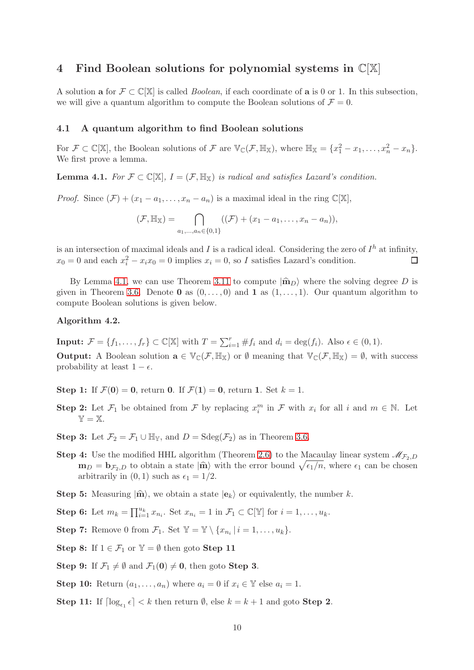# <span id="page-9-0"></span>4 Find Boolean solutions for polynomial systems in  $\mathbb{C}[\mathbb{X}]$

A solution a for  $\mathcal{F} \subset \mathbb{C}[\mathbb{X}]$  is called *Boolean*, if each coordinate of a is 0 or 1. In this subsection, we will give a quantum algorithm to compute the Boolean solutions of  $\mathcal{F} = 0$ .

## 4.1 A quantum algorithm to find Boolean solutions

For  $\mathcal{F} \subset \mathbb{C}[\mathbb{X}]$ , the Boolean solutions of  $\mathcal{F}$  are  $\mathbb{V}_{\mathbb{C}}(\mathcal{F}, \mathbb{H}_{\mathbb{X}})$ , where  $\mathbb{H}_{\mathbb{X}} = \{x_1^2 - x_1, \ldots, x_n^2 - x_n\}.$ We first prove a lemma.

<span id="page-9-1"></span>**Lemma 4.1.** For  $\mathcal{F} \subset \mathbb{C}[\mathbb{X}], I = (\mathcal{F}, \mathbb{H}_{\mathbb{X}})$  is radical and satisfies Lazard's condition.

*Proof.* Since  $(\mathcal{F}) + (x_1 - a_1, \ldots, x_n - a_n)$  is a maximal ideal in the ring  $\mathbb{C}[\mathbb{X}],$ 

$$
(\mathcal{F}, \mathbb{H}_{\mathbb{X}}) = \bigcap_{a_1, ..., a_n \in \{0,1\}} ((\mathcal{F}) + (x_1 - a_1, ..., x_n - a_n)),
$$

is an intersection of maximal ideals and I is a radical ideal. Considering the zero of  $I<sup>h</sup>$  at infinity,  $x_0 = 0$  and each  $x_i^2 - x_i x_0 = 0$  implies  $x_i = 0$ , so I satisfies Lazard's condition. П

By Lemma [4.1,](#page-9-1) we can use Theorem [3.11](#page-8-0) to compute  $|\hat{\mathbf{m}}_D\rangle$  where the solving degree D is given in Theorem [3.6.](#page-7-3) Denote **0** as  $(0, \ldots, 0)$  and **1** as  $(1, \ldots, 1)$ . Our quantum algorithm to compute Boolean solutions is given below.

#### <span id="page-9-2"></span>Algorithm 4.2.

**Input:**  $\mathcal{F} = \{f_1, \ldots, f_r\} \subset \mathbb{C}[\mathbb{X}]$  with  $T = \sum_{i=1}^r \#f_i$  and  $d_i = \deg(f_i)$ . Also  $\epsilon \in (0, 1)$ . **Output:** A Boolean solution  $\mathbf{a} \in \mathbb{V}_{\mathbb{C}}(\mathcal{F}, \mathbb{H}_{\mathbb{X}})$  or  $\emptyset$  meaning that  $\mathbb{V}_{\mathbb{C}}(\mathcal{F}, \mathbb{H}_{\mathbb{X}}) = \emptyset$ , with success probability at least  $1 - \epsilon$ .

Step 1: If  $\mathcal{F}(0) = 0$ , return 0. If  $\mathcal{F}(1) = 0$ , return 1. Set  $k = 1$ .

- **Step 2:** Let  $\mathcal{F}_1$  be obtained from  $\mathcal{F}$  by replacing  $x_i^m$  in  $\mathcal{F}$  with  $x_i$  for all i and  $m \in \mathbb{N}$ . Let  $\mathbb{Y} = \mathbb{X}.$
- Step 3: Let  $\mathcal{F}_2 = \mathcal{F}_1 \cup \mathbb{H}_{\mathbb{Y}}$ , and  $D = \text{Sdeg}(\mathcal{F}_2)$  as in Theorem [3.6.](#page-7-3)
- **Step 4:** Use the modified HHL algorithm (Theorem [2.6\)](#page-4-4) to the Macaulay linear system  $\mathcal{M}_{\mathcal{F}_2,D}$  $\mathbf{m}_D = \mathbf{b}_{\mathcal{F}_2,D}$  to obtain a state  $|\hat{\mathbf{m}}\rangle$  with the error bound  $\sqrt{\epsilon_1/n}$ , where  $\epsilon_1$  can be chosen arbitrarily in  $(0, 1)$  such as  $\epsilon_1 = 1/2$ .
- **Step 5:** Measuring  $|\hat{m}\rangle$ , we obtain a state  $|e_k\rangle$  or equivalently, the number k.

**Step 6:** Let  $m_k = \prod_{i=1}^{u_k} x_{n_i}$ . Set  $x_{n_i} = 1$  in  $\mathcal{F}_1 \subset \mathbb{C}[\mathbb{Y}]$  for  $i = 1, \ldots, u_k$ .

**Step 7:** Remove 0 from  $\mathcal{F}_1$ . Set  $\mathbb{Y} = \mathbb{Y} \setminus \{x_{n_i} | i = 1, ..., u_k\}$ .

Step 8: If  $1 \in \mathcal{F}_1$  or  $\mathbb{Y} = \emptyset$  then goto Step 11

**Step 9:** If  $\mathcal{F}_1 \neq \emptyset$  and  $\mathcal{F}_1(0) \neq 0$ , then goto **Step 3.** 

Step 10: Return  $(a_1, \ldots, a_n)$  where  $a_i = 0$  if  $x_i \in \mathbb{Y}$  else  $a_i = 1$ .

Step 11: If  $\lceil \log_{\epsilon_1} \epsilon \rceil < k$  then return  $\emptyset$ , else  $k = k + 1$  and goto Step 2.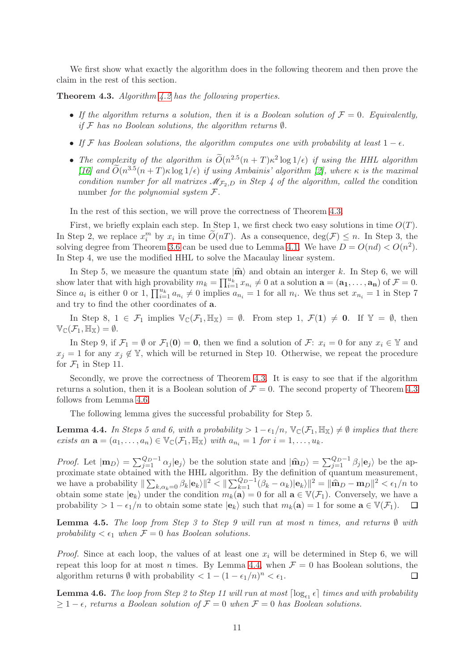We first show what exactly the algorithm does in the following theorem and then prove the claim in the rest of this section.

<span id="page-10-0"></span>Theorem 4.3. Algorithm [4.2](#page-9-2) has the following properties.

- If the algorithm returns a solution, then it is a Boolean solution of  $\mathcal{F} = 0$ . Equivalently, if  $\mathcal F$  has no Boolean solutions, the algorithm returns  $\emptyset$ .
- If F has Boolean solutions, the algorithm computes one with probability at least  $1 \epsilon$ .
- The complexity of the algorithm is  $O(n^{2.5}(n+T)\kappa^2 \log 1/\epsilon)$  if using the HHL algorithm [\[16\]](#page-23-1) and  $\widetilde{O}(n^{3.5}(n+T)\kappa \log 1/\epsilon)$  if using Ambainis' algorithm [\[2\]](#page-22-0), where  $\kappa$  is the maximal condition number for all matrixes  $\mathcal{M}_{\mathcal{F}_2,D}$  in Step 4 of the algorithm, called the condition number for the polynomial system  $\mathcal{F}.$

In the rest of this section, we will prove the correctness of Theorem [4.3.](#page-10-0)

First, we briefly explain each step. In Step 1, we first check two easy solutions in time  $O(T)$ . In Step 2, we replace  $x_i^m$  by  $x_i$  in time  $\widetilde{O}(nT)$ . As a consequence,  $\deg(\mathcal{F}) \leq n$ . In Step 3, the solving degree from Theorem [3.6](#page-7-3) can be used due to Lemma [4.1.](#page-9-1) We have  $D = O(nd) < O(n^2)$ . In Step 4, we use the modified HHL to solve the Macaulay linear system.

In Step 5, we measure the quantum state  $|\hat{\mathbf{m}}\rangle$  and obtain an interger k. In Step 6, we will show later that with high provability  $m_k = \prod_{i=1}^{u_k} x_{n_i} \neq 0$  at a solution  $\mathbf{a} = (\mathbf{a_1}, \dots, \mathbf{a_n})$  of  $\mathcal{F} = 0$ . Since  $a_i$  is either 0 or 1,  $\prod_{i=1}^{u_k} a_{n_i} \neq 0$  implies  $a_{n_i} = 1$  for all  $n_i$ . We thus set  $x_{n_i} = 1$  in Step 7 and try to find the other coordinates of a.

In Step 8,  $1 \in \mathcal{F}_1$  implies  $\mathbb{V}_{\mathbb{C}}(\mathcal{F}_1, \mathbb{H}_{\mathbb{X}}) = \emptyset$ . From step 1,  $\mathcal{F}(1) \neq \mathbf{0}$ . If  $\mathbb{Y} = \emptyset$ , then  $\mathbb{V}_{\mathbb{C}}(\mathcal{F}_1,\mathbb{H}_{\mathbb{X}})=\emptyset.$ 

In Step 9, if  $\mathcal{F}_1 = \emptyset$  or  $\mathcal{F}_1(0) = 0$ , then we find a solution of  $\mathcal{F}: x_i = 0$  for any  $x_i \in \mathbb{Y}$  and  $x_i = 1$  for any  $x_i \notin \mathbb{Y}$ , which will be returned in Step 10. Otherwise, we repeat the procedure for  $\mathcal{F}_1$  in Step 11.

Secondly, we prove the correctness of Theorem [4.3.](#page-10-0) It is easy to see that if the algorithm returns a solution, then it is a Boolean solution of  $\mathcal{F} = 0$ . The second property of Theorem [4.3](#page-10-0) follows from Lemma [4.6.](#page-10-1)

The following lemma gives the successful probability for Step 5.

<span id="page-10-2"></span>**Lemma 4.4.** In Steps 5 and 6, with a probability >  $1-\epsilon_1/n$ ,  $\mathbb{V}_{\mathbb{C}}(\mathcal{F}_1, \mathbb{H}_{\mathbb{X}}) \neq \emptyset$  implies that there exists an  $\mathbf{a} = (a_1, \ldots, a_n) \in \mathbb{V}_{\mathbb{C}}(\mathcal{F}_1, \mathbb{H}_{\mathbb{X}})$  with  $a_{n_i} = 1$  for  $i = 1, \ldots, u_k$ .

Proof. Let  $|m_D\rangle = \sum_{j=1}^{Q_D-1} \alpha_j |e_j\rangle$  be the solution state and  $|\hat{m}_D\rangle = \sum_{j=1}^{Q_D-1} \beta_j |e_j\rangle$  be the approximate state obtained with the HHL algorithm. By the definition of quantum measurement, we have a probability  $\|\sum_{k,\alpha_k=0} \beta_k |e_k\rangle\|^2 \le \|\sum_{k=1}^{Q_D-1} (\beta_k - \alpha_k)|e_k\rangle\|^2 = \|\hat{\mathbf{m}}_D - \mathbf{m}_D\|^2 \le \epsilon_1/n$  to obtain some state  $|\mathbf{e}_k\rangle$  under the condition  $m_k(\mathbf{a}) = 0$  for all  $\mathbf{a} \in \mathbb{V}(\mathcal{F}_1)$ . Conversely, we have a probability >  $1 - \epsilon_1/n$  to obtain some state  $|e_k\rangle$  such that  $m_k(\mathbf{a}) = 1$  for some  $\mathbf{a} \in \mathbb{V}(\mathcal{F}_1)$ .  $\Box$ 

<span id="page-10-3"></span>**Lemma 4.5.** The loop from Step 3 to Step 9 will run at most n times, and returns  $\emptyset$  with probability  $\lt \epsilon_1$  when  $\mathcal{F} = 0$  has Boolean solutions.

*Proof.* Since at each loop, the values of at least one  $x_i$  will be determined in Step 6, we will repeat this loop for at most *n* times. By Lemma [4.4,](#page-10-2) when  $\mathcal{F} = 0$  has Boolean solutions, the algorithm returns  $\emptyset$  with probability  $\langle 1 - (1 - \epsilon_1/n)^n \rangle \langle \epsilon_1, \square \rangle$ algorithm returns  $\emptyset$  with probability  $\lt 1 - (1 - \epsilon_1/n)^n < \epsilon_1$ .

<span id="page-10-1"></span>**Lemma 4.6.** The loop from Step 2 to Step 11 will run at most  $\lceil \log_{\epsilon_1} \epsilon \rceil$  times and with probability  $\geq 1-\epsilon$ , returns a Boolean solution of  $\mathcal{F}=0$  when  $\mathcal{F}=0$  has Boolean solutions.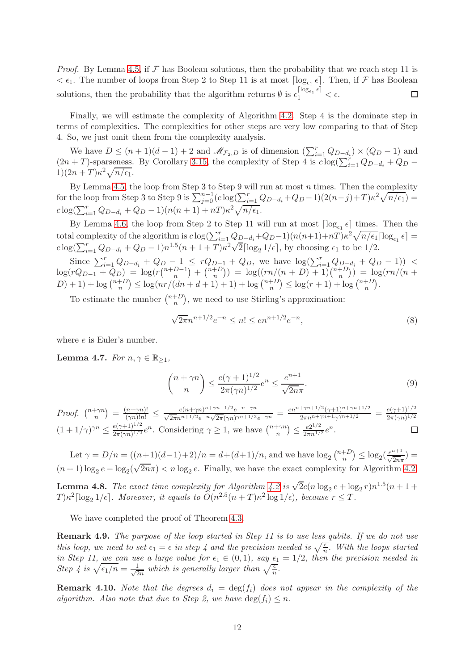*Proof.* By Lemma [4.5,](#page-10-3) if  $\mathcal F$  has Boolean solutions, then the probability that we reach step 11 is  $< \epsilon_1$ . The number of loops from Step 2 to Step 11 is at most  $\lceil \log_{\epsilon_1} \epsilon \rceil$ . Then, if F has Boolean solutions, then the probability that the algorithm returns  $\emptyset$  is  $\epsilon_1^{\lceil \log_{\epsilon_1} \epsilon \rceil} < \epsilon$ .  $\Box$ 

Finally, we will estimate the complexity of Algorithm [4.2.](#page-9-2) Step 4 is the dominate step in terms of complexities. The complexities for other steps are very low comparing to that of Step 4. So, we just omit them from the complexity analysis.

We have  $D \leq (n+1)(d-1) + 2$  and  $\mathcal{M}_{\mathcal{F}_2, D}$  is of dimension  $(\sum_{i=1}^r Q_{D-d_i}) \times (Q_D - 1)$  and  $(2n+T)$ -sparseness. By Corollary [3.15,](#page-8-1) the complexity of Step 4 is  $c \log(\sum_{i=1}^{r} Q_{D-d_i} + Q_D 1(2n+T)\kappa^2\sqrt{n/\epsilon_1}.$ 

By Lemma [4.5,](#page-10-3) the loop from Step 3 to Step 9 will run at most  $n$  times. Then the complexity for the loop from Step 3 to Step 9 is  $\sum_{j=0}^{n-1} (c \log(\sum_{i=1}^r Q_{D-d_i} + Q_D - 1)(2(n-j)+T)\kappa^2 \sqrt{n/\epsilon_1}) =$  $c \log(\sum_{i=1}^{r} Q_{D-d_i} + Q_D - 1)(n(n+1) + nT)\kappa^2 \sqrt{n/\epsilon_1}.$ 

By Lemma [4.6,](#page-10-1) the loop from Step 2 to Step 11 will run at most  $\lceil \log_{\epsilon_1} \epsilon \rceil$  times. Then the total complexity of the algorithm is  $c \log(\sum_{i=1}^r Q_{D-d_i} + Q_D-1)(n(n+1)+nT)\kappa^2 \sqrt{n/\epsilon_1} \lceil \log_{\epsilon_1} \epsilon \rceil =$  $c \log(\sum_{i=1}^r Q_{D-d_i} + Q_D - 1) n^{1.5} (n + 1 + T) \kappa^2 \sqrt{2} \lceil \log_2 1/\epsilon \rceil$ , by choosing  $\epsilon_1$  to be 1/2.

Since  $\sum_{i=1}^{r} Q_{D-d_i} + Q_{D-1} \leq r Q_{D-1} + Q_D$ , we have  $\log(\sum_{i=1}^{r} Q_{D-d_i} + Q_D - 1)$  <  $\log(rQ_{D-1}+Q_D) = \log(r{n+D-1 \choose n} + {n+D \choose n}$  $\binom{n+D}{n}$  =  $\log((rn/(n+D) + 1))\binom{n+D}{n}$  $\binom{+D}{n}$ ) =  $\log(rn/(n+1))$  $(D) + 1$ ) + log  $\binom{n+D}{n}$  ${n+D \choose n} \leq \log(nr/(dn+d+1)+1) + \log {n+D \choose n}$  ${n+D \choose n} \le \log(r+1) + \log {n+D \choose n}$  $\binom{+D}{n}$ .

To estimate the number  $\binom{n+D}{n}$  $_n^{+D}$ , we need to use Stirling's approximation:

$$
\sqrt{2\pi}n^{n+1/2}e^{-n} \le n! \le en^{n+1/2}e^{-n},\tag{8}
$$

where e is Euler's number.

Lemma 4.7. For  $n, \gamma \in \mathbb{R}_{\geq 1}$ ,

$$
\binom{n+\gamma n}{n} \le \frac{e(\gamma+1)^{1/2}}{2\pi(\gamma n)^{1/2}} e^n \le \frac{e^{n+1}}{\sqrt{2n}\pi}.
$$
\n(9)

 $\binom{n+\gamma n}{n} = \frac{(n+\gamma n)!}{(\gamma n)!n!} \le \frac{e(n+\gamma n)^{n+\gamma n+1/2}e^{-n-\gamma n}}{\sqrt{2\pi}n^{n+1/2}e^{-n}\sqrt{2\pi}(\gamma n)^{\gamma n+1/2}e^{-\gamma n}} = \frac{en^{n+\gamma n+1/2}(\gamma+1)^{n+\gamma n+1/2}}{2\pi n^{n+\gamma n+1}\gamma^{\gamma n+1/2}}$  $\frac{1+\gamma n+1/2(\gamma+1)^{n+\gamma n+1/2}}{2\pi n^{n+\gamma n+1}\gamma^{\gamma n+1/2}} = \frac{e(\gamma+1)^{1/2}}{2\pi (\gamma n)^{1/2}}$ Proof.  $\binom{n+\gamma n}{n}$  $2\pi(\gamma n)^{1/2}$  $(1+1/\gamma)^{\gamma n} \leq \frac{e(\gamma+1)^{1/2}}{2\pi (\gamma n)^{1/2}}$  $\binom{n}{n} \leq \frac{e2^{1/2}}{2\pi n^{1/2}} e^n.$  $\frac{e(\gamma+1)^{1/2}}{2\pi(\gamma n)^{1/2}}e^n$ . Considering  $\gamma \geq 1$ , we have  $\binom{n+\gamma n}{n}$ □

Let  $\gamma = D/n = ((n+1)(d-1)+2)/n = d + (d+1)/n$ , and we have  $\log_2 {n+D \choose n}$  $\binom{+D}{n} \leq \log_2(\frac{e^{n+1}}{\sqrt{2n}\pi}) =$  $(n+1)\log_2 e - \log_2(\sqrt{2n}\pi) < n\log_2 e$ . Finally, we have the exact complexity for Algorithm [4.2:](#page-9-2)

<span id="page-11-0"></span>**Lemma 4.8.** The exact time complexity for Algorithm [4.2](#page-9-2) is  $\sqrt{2}c(n\log_2 e + \log_2 r)n^{1.5}(n+1+1)$  $T)\kappa^2\lceil \log_2 1/\epsilon \rceil$ . Moreover, it equals to  $O(n^{2.5}(n+T)\kappa^2\log 1/\epsilon)$ , because  $r \leq T$ .

We have completed the proof of Theorem [4.3.](#page-10-0)

Remark 4.9. The purpose of the loop started in Step 11 is to use less qubits. If we do not use this loop, we need to set  $\epsilon_1 = \epsilon$  in step 4 and the precision needed is  $\sqrt{\frac{\epsilon}{n}}$ . With the loops started in Step 11, we can use a large value for  $\epsilon_1 \in (0,1)$ , say  $\epsilon_1 = 1/2$ , then the precision needed in Step 4 is  $\sqrt{\epsilon_1/n} = \frac{1}{\sqrt{2}}$  $\frac{1}{2n}$  which is generally larger than  $\sqrt{\frac{\epsilon}{n}}$ .

**Remark 4.10.** Note that the degrees  $d_i = \deg(f_i)$  does not appear in the complexity of the algorithm. Also note that due to Step 2, we have  $\deg(f_i) \leq n$ .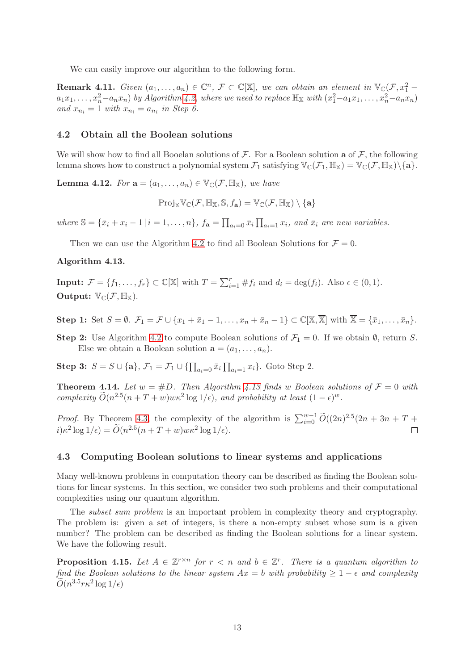We can easily improve our algorithm to the following form.

**Remark 4.11.** Given  $(a_1, \ldots, a_n) \in \mathbb{C}^n$ ,  $\mathcal{F} \subset \mathbb{C}[\mathbb{X}]$ , we can obtain an element in  $\mathbb{V}_{\mathbb{C}}(\mathcal{F}, x_1^2 - \mathcal{F})$  $a_1x_1, \ldots, x_n^2-a_nx_n$ ) by Algorithm [4.2,](#page-9-2) where we need to replace  $\mathbb{H}_{\mathbb{X}}$  with  $(x_1^2-a_1x_1, \ldots, x_n^2-a_nx_n)$ and  $x_{n_i} = 1$  with  $x_{n_i} = a_{n_i}$  in Step 6.

## 4.2 Obtain all the Boolean solutions

We will show how to find all Booelan solutions of  $\mathcal F$ . For a Boolean solution **a** of  $\mathcal F$ , the following lemma shows how to construct a polynomial system  $\mathcal{F}_1$  satisfying  $\mathbb{V}_{\mathbb{C}}(\mathcal{F}_1, \mathbb{H}_{\mathbb{X}}) = \mathbb{V}_{\mathbb{C}}(\mathcal{F}, \mathbb{H}_{\mathbb{X}})\setminus\{\mathbf{a}\}.$ 

**Lemma 4.12.** For  $\mathbf{a} = (a_1, \ldots, a_n) \in \mathbb{V}_{\mathbb{C}}(\mathcal{F}, \mathbb{H}_{\mathbb{X}})$ , we have

$$
\mathrm{Proj}_{\mathbb{X}}\mathbb{V}_{\mathbb{C}}(\mathcal{F},\mathbb{H}_{\mathbb{X}},\mathbb{S},f_{\mathbf{a}})=\mathbb{V}_{\mathbb{C}}(\mathcal{F},\mathbb{H}_{\mathbb{X}})\setminus\{\mathbf{a}\}
$$

where  $\mathbb{S} = {\bar{x}_i + x_i - 1 \mid i = 1, ..., n}$ ,  $f_{\mathbf{a}} = \prod_{a_i=0} \bar{x}_i \prod_{a_i=1} x_i$ , and  $\bar{x}_i$  are new variables.

Then we can use the Algorithm [4.2](#page-9-2) to find all Boolean Solutions for  $\mathcal{F} = 0$ .

## <span id="page-12-0"></span>Algorithm 4.13.

**Input:**  $\mathcal{F} = \{f_1, \ldots, f_r\} \subset \mathbb{C}[\mathbb{X}]$  with  $T = \sum_{i=1}^r \#f_i$  and  $d_i = \deg(f_i)$ . Also  $\epsilon \in (0, 1)$ . Output:  $\mathbb{V}_{\mathbb{C}}(\mathcal{F}, \mathbb{H}_{\mathbb{X}})$ .

Step 1: Set  $S = \emptyset$ .  $\mathcal{F}_1 = \mathcal{F} \cup \{x_1 + \bar{x}_1 - 1, \ldots, x_n + \bar{x}_n - 1\} \subset \mathbb{C}[\mathbb{X}, \overline{\mathbb{X}}]$  with  $\overline{\mathbb{X}} = \{\bar{x}_1, \ldots, \bar{x}_n\}$ .

Step 2: Use Algorithm [4.2](#page-9-2) to compute Boolean solutions of  $\mathcal{F}_1 = 0$ . If we obtain  $\emptyset$ , return S. Else we obtain a Boolean solution  $\mathbf{a} = (a_1, \ldots, a_n)$ .

**Step 3:**  $S = S \cup \{a\}, \mathcal{F}_1 = \mathcal{F}_1 \cup \{\prod_{a_i=0} \bar{x}_i \prod_{a_i=1} x_i\}.$  Goto Step 2.

**Theorem 4.14.** Let  $w = #D$ . Then Algorithm [4.13](#page-12-0) finds w Boolean solutions of  $\mathcal{F} = 0$  with complexity  $\tilde{O}(n^{2.5}(n+T+w)w\kappa^2 \log 1/\epsilon)$ , and probability at least  $(1-\epsilon)^w$ .

*Proof.* By Theorem [4.3,](#page-10-0) the complexity of the algorithm is  $\sum_{i=0}^{w-1} \widetilde{O}((2n)^{2.5}(2n+3n+T+$  $i) \kappa^2 \log 1/\epsilon$  =  $\widetilde{O}(n^{2.5}(n+T+w)w\kappa^2 \log 1/\epsilon)$ .  $\Box$ 

## 4.3 Computing Boolean solutions to linear systems and applications

Many well-known problems in computation theory can be described as finding the Boolean solutions for linear systems. In this section, we consider two such problems and their computational complexities using our quantum algorithm.

The *subset sum problem* is an important problem in complexity theory and cryptography. The problem is: given a set of integers, is there a non-empty subset whose sum is a given number? The problem can be described as finding the Boolean solutions for a linear system. We have the following result.

<span id="page-12-1"></span>**Proposition 4.15.** Let  $A \in \mathbb{Z}^{r \times n}$  for  $r < n$  and  $b \in \mathbb{Z}^r$ . There is a quantum algorithm to find the Boolean solutions to the linear system  $Ax = b$  with probability  $\geq 1 - \epsilon$  and complexity  $\widetilde{O}(n^{3.5}r\kappa^2\log{1/\epsilon})$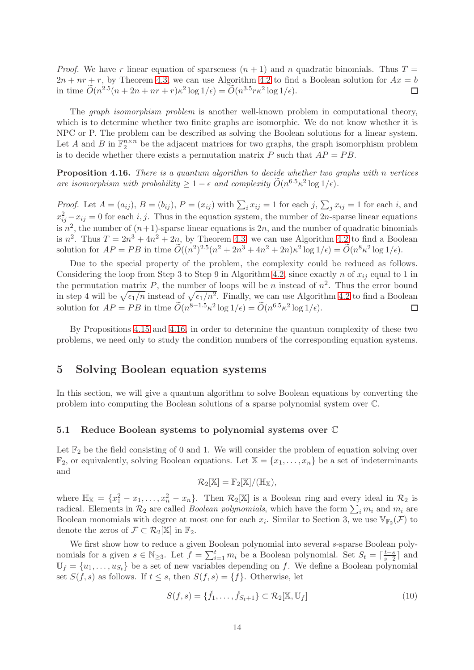*Proof.* We have r linear equation of sparseness  $(n + 1)$  and n quadratic binomials. Thus  $T =$  $2n + nr + r$ , by Theorem [4.3,](#page-10-0) we can use Algorithm [4.2](#page-9-2) to find a Boolean solution for  $Ax = b$ in time  $\tilde{O}(n^{2.5}(n+2n+nr+r)\kappa^2 \log 1/\epsilon) = \tilde{O}(n^{3.5}r\kappa^2 \log 1/\epsilon).$  $\Box$ 

The graph isomorphism problem is another well-known problem in computational theory, which is to determine whether two finite graphs are isomorphic. We do not know whether it is NPC or P. The problem can be described as solving the Boolean solutions for a linear system. Let A and B in  $\mathbb{F}_2^{n \times n}$  be the adjacent matrices for two graphs, the graph isomorphism problem is to decide whether there exists a permutation matrix P such that  $AP = PB$ .

<span id="page-13-1"></span>Proposition 4.16. There is a quantum algorithm to decide whether two graphs with n vertices are isomorphism with probability  $\geq 1 - \epsilon$  and complexity  $\widetilde{O}(n^{6.5} \kappa^2 \log 1/\epsilon)$ .

*Proof.* Let  $A = (a_{ij}), B = (b_{ij}), P = (x_{ij})$  with  $\sum_i x_{ij} = 1$  for each  $j, \sum_j x_{ij} = 1$  for each  $i$ , and  $x_{ij}^2 - x_{ij} = 0$  for each i, j. Thus in the equation system, the number of 2n-sparse linear equations is  $n^2$ , the number of  $(n+1)$ -sparse linear equations is  $2n$ , and the number of quadratic binomials is  $n^2$ . Thus  $T = 2n^3 + 4n^2 + 2n$ , by Theorem [4.3,](#page-10-0) we can use Algorithm [4.2](#page-9-2) to find a Boolean solution for  $AP = PB$  in time  $\widetilde{O}((n^2)^{2.5}(n^2 + 2n^3 + 4n^2 + 2n)\kappa^2 \log 1/\epsilon) = \widetilde{O}(n^8 \kappa^2 \log 1/\epsilon)$ .

Due to the special property of the problem, the complexity could be reduced as follows. Considering the loop from Step 3 to Step 9 in Algorithm [4.2,](#page-9-2) since exactly n of  $x_{ij}$  equal to 1 in the permutation matrix P, the number of loops will be n instead of  $n^2$ . Thus the error bound in step 4 will be  $\sqrt{\epsilon_1/n}$  instead of  $\sqrt{\epsilon_1/n^2}$ . Finally, we can use Algorithm [4.2](#page-9-2) to find a Boolean solution for  $AP = PB$  in time  $\tilde{O}(n^{8-1.5} \kappa^2 \log 1/\epsilon) = \tilde{O}(n^{6.5} \kappa^2 \log 1/\epsilon).$  $\Box$ 

By Propositions [4.15](#page-12-1) and [4.16,](#page-13-1) in order to determine the quantum complexity of these two problems, we need only to study the condition numbers of the corresponding equation systems.

# <span id="page-13-0"></span>5 Solving Boolean equation systems

In this section, we will give a quantum algorithm to solve Boolean equations by converting the problem into computing the Boolean solutions of a sparse polynomial system over C.

#### 5.1 Reduce Boolean systems to polynomial systems over C

Let  $\mathbb{F}_2$  be the field consisting of 0 and 1. We will consider the problem of equation solving over  $\mathbb{F}_2$ , or equivalently, solving Boolean equations. Let  $\mathbb{X} = \{x_1, \ldots, x_n\}$  be a set of indeterminants and

$$
\mathcal{R}_2[\mathbb{X}] = \mathbb{F}_2[\mathbb{X}]/(\mathbb{H}_{\mathbb{X}}),
$$

where  $\mathbb{H}_{\mathbb{X}} = \{x_1^2 - x_1, \ldots, x_n^2 - x_n\}.$  Then  $\mathcal{R}_2[\mathbb{X}]$  is a Boolean ring and every ideal in  $\mathcal{R}_2$  is radical. Elements in  $\mathcal{R}_2$  are called *Boolean polynomials*, which have the form  $\sum_i m_i$  and  $m_i$  are Boolean monomials with degree at most one for each  $x_i$ . Similar to Section 3, we use  $\mathbb{V}_{\mathbb{F}_2}(\mathcal{F})$  to denote the zeros of  $\mathcal{F} \subset \mathcal{R}_2[\mathbb{X}]$  in  $\mathbb{F}_2$ .

We first show how to reduce a given Boolean polynomial into several s-sparse Boolean polynomials for a given  $s \in \mathbb{N}_{\geq 3}$ . Let  $f = \sum_{i=1}^{t} m_i$  be a Boolean polynomial. Set  $S_t = \lceil \frac{t-s}{s-2} \rceil$  $\frac{t-s}{s-2}$  and  $\mathbb{U}_f = \{u_1, \ldots, u_{S_t}\}\$ be a set of new variables depending on f. We define a Boolean polynomial set  $S(f, s)$  as follows. If  $t \leq s$ , then  $S(f, s) = \{f\}$ . Otherwise, let

$$
S(f,s) = \{\check{f}_1, \ldots, \check{f}_{S_t+1}\} \subset \mathcal{R}_2[\mathbb{X}, \mathbb{U}_f]
$$
\n
$$
(10)
$$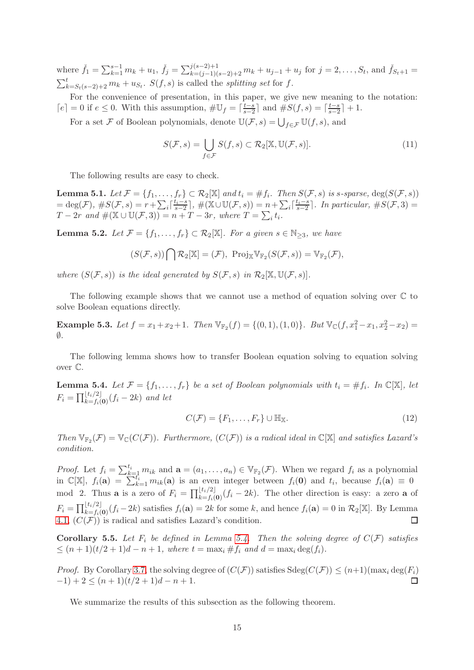where  $\check{f}_1 = \sum_{k=1}^{s-1} m_k + u_1$ ,  $\check{f}_j = \sum_{k=(j-1)(s-2)+2}^{j(s-2)+1} m_k + u_{j-1} + u_j$  for  $j = 2, \ldots, S_t$ , and  $\check{f}_{S_t+1} =$  $\sum_{k=S_t(s-2)+2}^t m_k + u_{S_t}$ .  $S(f, s)$  is called the *splitting set* for f.

For the convenience of presentation, in this paper, we give new meaning to the notation:  $\lceil e \rceil = 0$  if  $e \leq 0$ . With this assumption,  $\#\mathbb{U}_f = \lceil \frac{t-s}{s-2} \rceil$  $\frac{t-s}{s-2}$  and  $\#S(f, s) = \lceil \frac{t-s}{s-2} \rceil$  $\frac{t-s}{s-2}$  + 1.

For a set  $\mathcal F$  of Boolean polynomials, denote  $\mathbb U(\mathcal F,s)=\bigcup_{f\in\mathcal F}\mathbb U(f,s),$  and

<span id="page-14-2"></span>
$$
S(\mathcal{F}, s) = \bigcup_{f \in \mathcal{F}} S(f, s) \subset \mathcal{R}_2[\mathbb{X}, \mathbb{U}(\mathcal{F}, s)].
$$
\n(11)

The following results are easy to check.

**Lemma 5.1.** Let  $\mathcal{F} = \{f_1, \ldots, f_r\} \subset \mathcal{R}_2[\mathbb{X}]$  and  $t_i = \#f_i$ . Then  $S(\mathcal{F}, s)$  is s-sparse,  $\deg(S(\mathcal{F}, s))$  $=\deg(\mathcal{F}), \#S(\mathcal{F},s)=r+\sum_i\lceil\frac{t_i-s}{s-2}\rceil$  $\left(\frac{t_i-s}{s-2}\right), \#(\mathbb{X}\cup\mathbb{U}(\mathcal{F},s))=n+\sum_i\lceil\frac{t_i-s}{s-2}\rceil$  $\left[\sum_{s=2}^{i,j-8}\right]$ . In particular,  $\#S(\mathcal{F},3)=$  $T-2r$  and  $\#(\mathbb{X}\cup\mathbb{U}(\mathcal{F},3))=n+T-3r$ , where  $T=\sum_i t_i$ .

**Lemma 5.2.** Let  $\mathcal{F} = \{f_1, \ldots, f_r\} \subset \mathcal{R}_2[\mathbb{X}]$ . For a given  $s \in \mathbb{N}_{\geq 3}$ , we have

$$
(S(\mathcal{F},s))\bigcap \mathcal{R}_2[\mathbb{X}]=(\mathcal{F}),\ \operatorname{Proj}_{\mathbb{X}}\mathbb{V}_{\mathbb{F}_2}(S(\mathcal{F},s))=\mathbb{V}_{\mathbb{F}_2}(\mathcal{F}),
$$

where  $(S(\mathcal{F}, s))$  is the ideal generated by  $S(\mathcal{F}, s)$  in  $\mathcal{R}_2[\mathbb{X}, \mathbb{U}(\mathcal{F}, s)]$ .

The following example shows that we cannot use a method of equation solving over  $\mathbb C$  to solve Boolean equations directly.

**Example 5.3.** Let  $f = x_1 + x_2 + 1$ . Then  $\mathbb{V}_{\mathbb{F}_2}(f) = \{(0, 1), (1, 0)\}$ . But  $\mathbb{V}_{\mathbb{C}}(f, x_1^2 - x_1, x_2^2 - x_2) =$  $\emptyset$ .

The following lemma shows how to transfer Boolean equation solving to equation solving over C.

<span id="page-14-0"></span>**Lemma 5.4.** Let  $\mathcal{F} = \{f_1, \ldots, f_r\}$  be a set of Boolean polynomials with  $t_i = \#f_i$ . In  $\mathbb{C}[\mathbb{X}]$ , let  $F_i = \prod_{k=f_i(\mathbf{0})}^{\lfloor t_i/2 \rfloor} (f_i - 2k)$  and let

<span id="page-14-3"></span>
$$
C(\mathcal{F}) = \{F_1, \dots, F_r\} \cup \mathbb{H}_{\mathbb{X}}.\tag{12}
$$

Then  $\mathbb{V}_{\mathbb{F}_2}(\mathcal{F}) = \mathbb{V}_{\mathbb{C}}(C(\mathcal{F}))$ . Furthermore,  $(C(\mathcal{F}))$  is a radical ideal in  $\mathbb{C}[\mathbb{X}]$  and satisfies Lazard's condition.

*Proof.* Let  $f_i = \sum_{k=1}^{t_i} m_{ik}$  and  $\mathbf{a} = (a_1, \ldots, a_n) \in \mathbb{V}_{\mathbb{F}_2}(\mathcal{F})$ . When we regard  $f_i$  as a polynomial in  $\mathbb{C}[\mathbb{X}], f_i(\mathbf{a}) = \sum_{k=1}^{n} m_{ik}(\mathbf{a})$  is an even integer between  $f_i(\mathbf{0})$  and  $t_i$ , because  $f_i(\mathbf{a}) \equiv 0$ mod 2. Thus **a** is a zero of  $F_i = \prod_{k=f_i(0)}^{[t_i/2]}(f_i-2k)$ . The other direction is easy: a zero **a** of  $F_i = \prod_{k=f_i(\mathbf{0})}^{\lfloor t_i/2 \rfloor} (f_i - 2k)$  satisfies  $f_i(\mathbf{a}) = 2k$  for some k, and hence  $f_i(\mathbf{a}) = 0$  in  $\mathcal{R}_2[\mathbb{X}]$ . By Lemma [4.1,](#page-9-1)  $(C(F))$  is radical and satisfies Lazard's condition.  $\Box$ 

<span id="page-14-1"></span>**Corollary 5.5.** Let  $F_i$  be defined in Lemma [5.4.](#page-14-0) Then the solving degree of  $C(F)$  satisfies  $\leq (n+1)(t/2+1)d-n+1$ , where  $t = \max_i \#f_i$  and  $d = \max_i \deg(f_i)$ .

*Proof.* By Corollary [3.7,](#page-7-2) the solving degree of  $(C(\mathcal{F}))$  satisfies  $Sdeg(C(\mathcal{F})) \leq (n+1)(\max_i deg(F_i) -1) + 2 \leq (n+1)(t/2+1)d - n+1$ .  $(-1) + 2 \leq (n+1)(t/2+1)d - n + 1.$ 

We summarize the results of this subsection as the following theorem.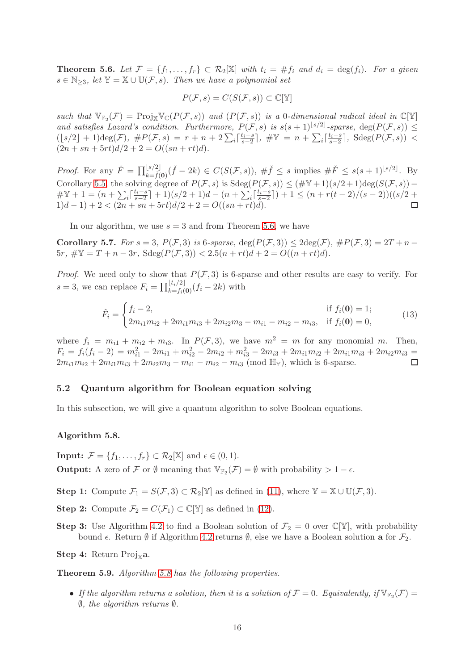<span id="page-15-1"></span>**Theorem 5.6.** Let  $\mathcal{F} = \{f_1, \ldots, f_r\} \subset \mathcal{R}_2[\mathbb{X}]$  with  $t_i = \#f_i$  and  $d_i = \deg(f_i)$ . For a given  $s \in \mathbb{N}_{\geq 3}$ , let  $\mathbb{Y} = \mathbb{X} \cup \mathbb{U}(\mathcal{F}, s)$ . Then we have a polynomial set

$$
P(\mathcal{F},s) = C(S(\mathcal{F},s)) \subset \mathbb{C}[\mathbb{Y}]
$$

such that  $\mathbb{V}_{\mathbb{F}_2}(\mathcal{F}) = \text{Proj}_{\mathbb{X}} \mathbb{V}_{\mathbb{C}}(P(\mathcal{F},s))$  and  $(P(\mathcal{F},s))$  is a 0-dimensional radical ideal in  $\mathbb{C}[\mathbb{Y}]$ and satisfies Lazard's condition. Furthermore,  $P(\mathcal{F}, s)$  is  $s(s+1)^{\lfloor s/2 \rfloor}$ -sparse,  $\deg(P(\mathcal{F}, s)) \leq$  $(\lfloor s/2 \rfloor + 1) \deg(\mathcal{F}), \#P(\mathcal{F}, s) = r + n + 2 \sum_i \lceil \frac{t_i - s}{s - 2} \rceil$  $\frac{t_i - s}{s-2}$ ,  $\#\mathbb{Y} = n + \sum_i \lceil \frac{t_i - s}{s-2} \rceil$  $\frac{t_i-s}{s-2}$ , Sdeg $(P(\mathcal{F}, s))$  <  $(2n + sn + 5rt)d/2 + 2 = O((sn + rt)d).$ 

*Proof.* For any  $\check{F} = \prod_{k=\check{f}(0)}^{[s/2]}(\check{f} - 2k) \in C(S(\mathcal{F}, s)), \# \check{f} \leq s$  implies  $\#\check{F} \leq s(s+1)^{[s/2]}$ . By Corollary [5.5,](#page-14-1) the solving degree of  $P(\mathcal{F}, s)$  is  $Sdeg(P(\mathcal{F}, s)) \leq (\#\mathbb{Y} + 1)(s/2 + 1)deg(S(\mathcal{F}, s)) \#\mathbb{Y} + 1 = (n + \sum_{i} \lceil \frac{t_i - s}{s - 2} \rceil)$  $\frac{t_i-s}{s-2}$  + 1)(s/2 + 1)d –  $(n + \sum_i \left[ \frac{t_i-s}{s-2} \right]$  $\frac{t_i-s}{s-2}$ ) + 1 ≤  $(n+r(t-2)/(s-2))$ ((s/2 +  $1)d-1$ ) + 2 <  $(2n + sn + 5rt)d/2 + 2 = O((sn + rt)d)$ .

In our algorithm, we use  $s = 3$  and from Theorem [5.6,](#page-15-1) we have

<span id="page-15-3"></span>Corollary 5.7. For  $s = 3$ ,  $P(F, 3)$  is 6-sparse,  $\deg(P(F, 3)) \leq 2\deg(F)$ ,  $\#P(F, 3) = 2T + n 5r, \#Y = T + n - 3r, \ \text{Sdeg}(P(\mathcal{F}, 3)) < 2.5(n + rt)d + 2 = O((n + rt)d).$ 

*Proof.* We need only to show that  $P(\mathcal{F},3)$  is 6-sparse and other results are easy to verify. For s = 3, we can replace  $F_i = \prod_{k=f_i(\mathbf{0})}^{\lfloor t_i/2 \rfloor} (f_i - 2k)$  with

$$
\hat{F}_i = \begin{cases} f_i - 2, & \text{if } f_i(\mathbf{0}) = 1; \\ 2m_{i1}m_{i2} + 2m_{i1}m_{i3} + 2m_{i2}m_3 - m_{i1} - m_{i2} - m_{i3}, & \text{if } f_i(\mathbf{0}) = 0, \end{cases}
$$
(13)

where  $f_i = m_{i1} + m_{i2} + m_{i3}$ . In  $P(\mathcal{F}, 3)$ , we have  $m^2 = m$  for any monomial m. Then,  $F_i = f_i(f_i - 2) = m_{i1}^2 - 2m_{i1} + m_{i2}^2 - 2m_{i2} + m_{i3}^2 - 2m_{i3} + 2m_{i1}m_{i2} + 2m_{i1}m_{i3} + 2m_{i2}m_{i3} =$  $2m_{i1}m_{i2} + 2m_{i1}m_{i3} + 2m_{i2}m_{3} - m_{i1} - m_{i2} - m_{i3}$  (mod  $\mathbb{H}_{\mathbb{Y}}$ ), which is 6-sparse.

#### 5.2 Quantum algorithm for Boolean equation solving

In this subsection, we will give a quantum algorithm to solve Boolean equations.

## <span id="page-15-2"></span>Algorithm 5.8.

**Input:**  $\mathcal{F} = \{f_1, \ldots, f_r\} \subset \mathcal{R}_2[\mathbb{X}]$  and  $\epsilon \in (0, 1)$ . **Output:** A zero of F or  $\emptyset$  meaning that  $\mathbb{V}_{\mathbb{F}_2}(\mathcal{F}) = \emptyset$  with probability  $> 1 - \epsilon$ .

Step 1: Compute  $\mathcal{F}_1 = S(\mathcal{F}, 3) \subset \mathcal{R}_2[\mathbb{Y}]$  as defined in [\(11\)](#page-14-2), where  $\mathbb{Y} = \mathbb{X} \cup \mathbb{U}(\mathcal{F}, 3)$ .

- **Step 2:** Compute  $\mathcal{F}_2 = C(\mathcal{F}_1) \subset \mathbb{C}[\mathbb{Y}]$  as defined in [\(12\)](#page-14-3).
- **Step 3:** Use Algorithm [4.2](#page-9-2) to find a Boolean solution of  $\mathcal{F}_2 = 0$  over  $\mathbb{C}[\mathbb{Y}]$ , with probability bound  $\epsilon$ . Return  $\emptyset$  if Algorithm [4.2](#page-9-2) returns  $\emptyset$ , else we have a Boolean solution **a** for  $\mathcal{F}_2$ .
- Step 4: Return Proj $_{\mathbb{X}}$ a.

<span id="page-15-0"></span>Theorem 5.9. Algorithm [5.8](#page-15-2) has the following properties.

• If the algorithm returns a solution, then it is a solution of  $\mathcal{F} = 0$ . Equivalently, if  $\mathbb{V}_{\mathbb{F}_2}(\mathcal{F}) =$  $\emptyset$ , the algorithm returns  $\emptyset$ .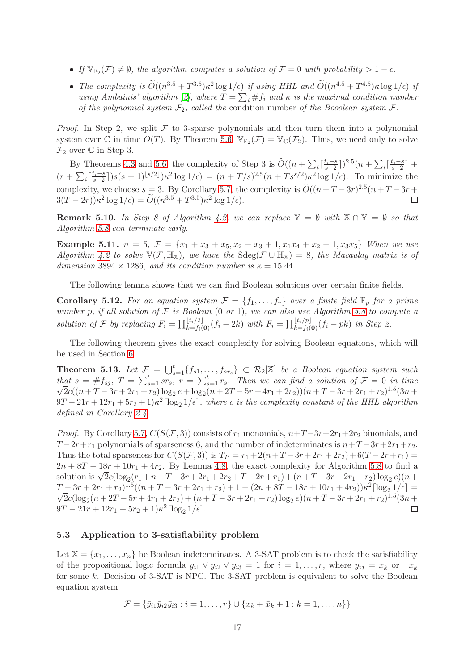- If  $\mathbb{V}_{\mathbb{F}_2}(\mathcal{F}) \neq \emptyset$ , the algorithm computes a solution of  $\mathcal{F} = 0$  with probability  $> 1 \epsilon$ .
- The complexity is  $\tilde{O}((n^{3.5} + T^{3.5})\kappa^2 \log 1/\epsilon)$  if using HHL and  $\tilde{O}((n^{4.5} + T^{4.5})\kappa \log 1/\epsilon)$  if using Ambainis' algorithm [\[2\]](#page-22-0), where  $T = \sum_i #f_i$  and  $\kappa$  is the maximal condition number of the polynomial system  $\mathcal{F}_2$ , called the condition number of the Booolean system  $\mathcal{F}$ .

*Proof.* In Step 2, we split  $\mathcal F$  to 3-sparse polynomials and then turn them into a polynomial system over  $\mathbb C$  in time  $O(T)$ . By Theorem [5.6,](#page-15-1)  $\mathbb V_{\mathbb F_2}(\mathcal F)=\mathbb V_{\mathbb C}(\mathcal F_2)$ . Thus, we need only to solve  $\mathcal{F}_2$  over  $\mathbb C$  in Step 3.

By Theorems [4.3](#page-10-0) and [5.6,](#page-15-1) the complexity of Step 3 is  $\widetilde{O}((n + \sum_i \lceil \frac{t_i-s}{s-2} \rceil))$  $\frac{t_i - s}{s-2}$ ])<sup>2.5</sup> $(n + \sum_i \lceil \frac{t_i - s}{s-2} \rceil)$  $\frac{t_i-s}{s-2}$  +  $(r + \sum_i \lceil \frac{t_i - s}{s - 2} \rceil$  $\frac{(t_i - s)}{s-2}$ ])s(s + 1)<sup>[s/2]</sup>) $\kappa^2 \log 1/\epsilon$ ) =  $(n + T/s)^{2.5} (n + T s^{s/2}) \kappa^2 \log 1/\epsilon$ ). To minimize the complexity, we choose  $s = 3$ . By Corollary [5.7,](#page-15-3) the complexity is  $\widetilde{O}((n+T-3r)^{2.5}(n+T-3r+$  $3(T - 2r)\kappa^2 \log 1/\epsilon) = \widetilde{O}((n^{3.5} + T^{3.5})\kappa^2 \log 1/\epsilon).$ 

**Remark 5.10.** In Step 8 of Algorithm [4.2,](#page-9-2) we can replace  $\mathbb{Y} = \emptyset$  with  $\mathbb{X} \cap \mathbb{Y} = \emptyset$  so that Algorithm [5.8](#page-15-2) can terminate early.

Example 5.11.  $n = 5$ ,  $\mathcal{F} = \{x_1 + x_3 + x_5, x_2 + x_3 + 1, x_1x_4 + x_2 + 1, x_3x_5\}$  When we use Algorithm [4.2](#page-9-2) to solve  $\mathbb{V}(\mathcal{F}, \mathbb{H}_{\mathbb{X}})$ , we have the  $Sdeg(\mathcal{F} \cup \mathbb{H}_{\mathbb{X}}) = 8$ , the Macaulay matrix is of dimension 3894  $\times$  1286, and its condition number is  $\kappa = 15.44$ .

The following lemma shows that we can find Boolean solutions over certain finite fields.

**Corollary 5.12.** For an equation system  $\mathcal{F} = \{f_1, \ldots, f_r\}$  over a finite field  $\mathbb{F}_p$  for a prime number p, if all solution of  $F$  is Boolean  $(0 \text{ or } 1)$ , we can also use Algorithm [5.8](#page-15-2) to compute a solution of F by replacing  $F_i = \prod_{k=f_i(\mathbf{0})}^{\lfloor t_i/2 \rfloor} (f_i - 2k)$  with  $F_i = \prod_{k=f_i(\mathbf{0})}^{\lfloor t_i/p \rfloor} (f_i - pk)$  in Step 2.

The following theorem gives the exact complexity for solving Boolean equations, which will be used in Section [6.](#page-17-0)

<span id="page-16-0"></span>**Theorem 5.13.** Let  $\mathcal{F} = \bigcup_{s=1}^t \{f_{s1}, \ldots, f_{sr_s}\} \subset \mathcal{R}_2[\mathbb{X}]$  be a Boolean equation system such that  $s = #f_{sj}, T = \sum_{s=1}^{t} s r_s, r = \sum_{s=1}^{t} r_s$ . Then we can find a solution of  $\mathcal{F} = 0$  in time  $\sqrt{2}c((n+T-3r+2r_1+r_2)\log_2{e} + \log_2(n+2T-5r+4r_1+2r_2))(n+T-3r+2r_1+r_2)^{1.5}(3n+$  $9T - 21r + 12r_1 + 5r_2 + 1)\kappa^2 \lceil \log_2 1/\epsilon \rceil$ , where c is the complexity constant of the HHL algorithm defined in Corollary [2.4.](#page-4-0)

*Proof.* By Corollary [5.7,](#page-15-3)  $C(S(\mathcal{F},3))$  consists of  $r_1$  monomials,  $n+T-3r+2r_1+2r_2$  binomials, and  $T-2r+r_1$  polynomials of sparseness 6, and the number of indeterminates is  $n+T-3r+2r_1+r_2$ . Thus the total sparseness for  $C(S(\mathcal{F}, 3))$  is  $T_P = r_1 + 2(n+T-3r+2r_1+2r_2)+6(T-2r+r_1)$  $2n + 8T - 18r + 10r_1 + 4r_2$ . By Lemma [4.8,](#page-11-0) the exact complexity for Algorithm [5.8](#page-15-2) to find a solution is  $\sqrt{2}c(\log_2(r_1 + n + T - 3r + 2r_1 + 2r_2 + T - 2r + r_1) + (n + T - 3r + 2r_1 + r_2)\log_2 e)(n +$  $T - 3r + 2r_1 + r_2)^{1.5}((n + T - 3r + 2r_1 + r_2) + 1 + (2n + 8T - 18r + 10r_1 + 4r_2))\kappa^2 \left[\log_2 1/\epsilon\right] =$  $\overline{2}c(\log_2(n+2T-5r+4r_1+2r_2)+(n+T-3r+2r_1+r_2)\log_2e)(n+T-3r+2r_1+r_2)^{1.5}(3n+1)$  $9T - 21r + 12r_1 + 5r_2 + 1\kappa^2 \lceil \log_2 1/\epsilon \rceil$ . П

## 5.3 Application to 3-satisfiability problem

Let  $X = \{x_1, \ldots, x_n\}$  be Boolean indeterminates. A 3-SAT problem is to check the satisfiability of the propositional logic formula  $y_{i1} \vee y_{i2} \vee y_{i3} = 1$  for  $i = 1, \ldots, r$ , where  $y_{ij} = x_k$  or  $\neg x_k$ for some k. Decision of 3-SAT is NPC. The 3-SAT problem is equivalent to solve the Boolean equation system

$$
\mathcal{F} = \{\bar{y}_{i1}\bar{y}_{i2}\bar{y}_{i3} : i = 1,\ldots,r\} \cup \{x_k + \bar{x}_k + 1 : k = 1,\ldots,n\}\}
$$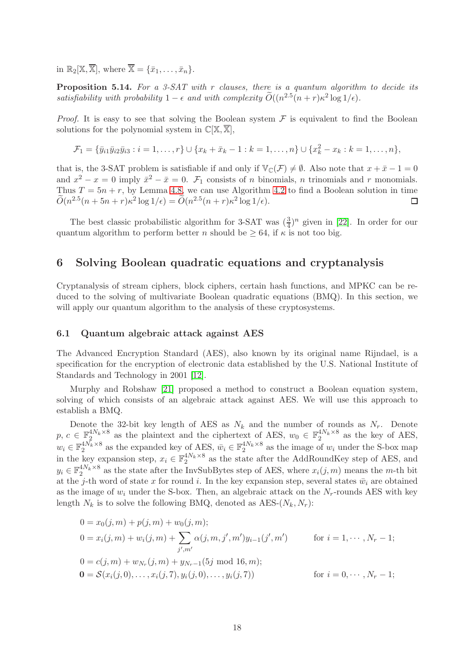in  $\mathbb{R}_2[\mathbb{X}, \overline{\mathbb{X}}]$ , where  $\overline{\mathbb{X}} = {\bar{x}_1, \ldots, \bar{x}_n}$ .

**Proposition 5.14.** For a 3-SAT with r clauses, there is a quantum algorithm to decide its satisfiability with probability  $1 - \epsilon$  and with complexity  $\widetilde{O}((n^{2.5}(n+r)\kappa^2 \log 1/\epsilon)).$ 

*Proof.* It is easy to see that solving the Boolean system  $\mathcal F$  is equivalent to find the Boolean solutions for the polynomial system in  $\mathbb{C}[\mathbb{X}, \overline{\mathbb{X}}]$ ,

$$
\mathcal{F}_1 = \{\bar{y}_{i1}\bar{y}_{i2}\bar{y}_{i3} : i = 1,\ldots,r\} \cup \{x_k + \bar{x}_k - 1 : k = 1,\ldots,n\} \cup \{x_k^2 - x_k : k = 1,\ldots,n\},\
$$

that is, the 3-SAT problem is satisfiable if and only if  $\mathbb{V}_{\mathbb{C}}(\mathcal{F}) \neq \emptyset$ . Also note that  $x + \bar{x} - 1 = 0$ and  $x^2 - x = 0$  imply  $\bar{x}^2 - \bar{x} = 0$ .  $\mathcal{F}_1$  consists of *n* binomials, *n* trinomials and *r* monomials. Thus  $T = 5n + r$ , by Lemma [4.8,](#page-11-0) we can use Algorithm [4.2](#page-9-2) to find a Boolean solution in time  $\widetilde{O}(n^{2.5}(n+5n+r)\kappa^2 \log 1/\epsilon) = \widetilde{O}(n^{2.5}(n+r)\kappa^2 \log 1/\epsilon).$  $\Box$ 

The best classic probabilistic algorithm for 3-SAT was  $(\frac{3}{4})^n$  given in [\[22\]](#page-23-6). In order for our quantum algorithm to perform better n should be  $\geq 64$ , if  $\kappa$  is not too big.

# <span id="page-17-0"></span>6 Solving Boolean quadratic equations and cryptanalysis

Cryptanalysis of stream ciphers, block ciphers, certain hash functions, and MPKC can be reduced to the solving of multivariate Boolean quadratic equations (BMQ). In this section, we will apply our quantum algorithm to the analysis of these cryptosystems.

#### 6.1 Quantum algebraic attack against AES

The Advanced Encryption Standard (AES), also known by its original name Rijndael, is a specification for the encryption of electronic data established by the U.S. National Institute of Standards and Technology in 2001 [\[12\]](#page-23-7).

Murphy and Robshaw [\[21\]](#page-23-8) proposed a method to construct a Boolean equation system, solving of which consists of an algebraic attack against AES. We will use this approach to establish a BMQ.

Denote the 32-bit key length of AES as  $N_k$  and the number of rounds as  $N_r$ . Denote  $p, c \in \mathbb{F}_2^{4N_k \times 8}$  as the plaintext and the ciphertext of AES,  $w_0 \in \mathbb{F}_2^{4N_k \times 8}$  as the key of AES,  $w_i \in \mathbb{F}_2^{4N_k \times 8}$  as the expanded key of AES,  $\bar{w}_i \in \mathbb{F}_2^{4N_k \times 8}$  as the image of  $w_i$  under the S-box map in the key expansion step,  $x_i \in \mathbb{F}_2^{4N_k \times 8}$  as the state after the AddRoundKey step of AES, and  $y_i \in \mathbb{F}_2^{4N_k \times 8}$  as the state after the InvSubBytes step of AES, where  $x_i(j,m)$  means the m-th bit at the j-th word of state x for round i. In the key expansion step, several states  $\bar{w}_i$  are obtained as the image of  $w_i$  under the S-box. Then, an algebraic attack on the  $N_r$ -rounds AES with key length  $N_k$  is to solve the following BMQ, denoted as AES- $(N_k, N_r)$ :

$$
0 = x_0(j, m) + p(j, m) + w_0(j, m);
$$
  
\n
$$
0 = x_i(j, m) + w_i(j, m) + \sum_{j', m'} \alpha(j, m, j', m')y_{i-1}(j', m') \qquad \text{for } i = 1, \dots, N_r - 1;
$$
  
\n
$$
0 = c(j, m) + w_{N_r}(j, m) + y_{N_r - 1}(5j \text{ mod } 16, m);
$$
  
\n
$$
0 = \mathcal{S}(x_i(j, 0), \dots, x_i(j, 7), y_i(j, 0), \dots, y_i(j, 7)) \qquad \text{for } i = 0, \dots, N_r - 1;
$$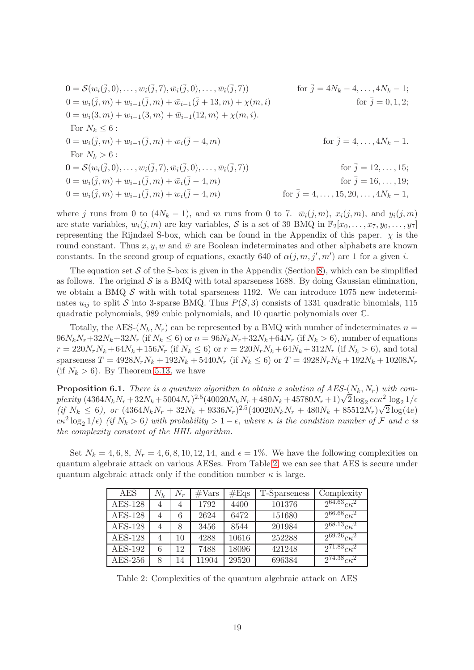$$
0 = S(w_i(\bar{j}, 0), \dots, w_i(\bar{j}, 7), \bar{w}_i(\bar{j}, 0), \dots, \bar{w}_i(\bar{j}, 7)) \qquad \text{for } \bar{j} = 4N_k - 4, \dots, 4N_k - 1; \n0 = w_i(\bar{j}, m) + w_{i-1}(\bar{j}, m) + \bar{w}_{i-1}(\bar{j} + 13, m) + \chi(m, i) \qquad \text{for } \bar{j} = 0, 1, 2; \n0 = w_i(3, m) + w_{i-1}(3, m) + \bar{w}_{i-1}(12, m) + \chi(m, i). \n\text{For } N_k \le 6 : \n0 = w_i(\bar{j}, m) + w_{i-1}(\bar{j}, m) + w_i(\bar{j} - 4, m) \qquad \text{for } \bar{j} = 4, \dots, 4N_k - 1. \n\text{For } N_k > 6 : \n0 = S(w_i(\bar{j}, 0), \dots, w_i(\bar{j}, 7), \bar{w}_i(\bar{j}, 0), \dots, \bar{w}_i(\bar{j}, 7)) \qquad \text{for } \bar{j} = 12, \dots, 15; \n0 = w_i(\bar{j}, m) + w_{i-1}(\bar{j}, m) + \bar{w}_i(\bar{j} - 4, m) \qquad \text{for } \bar{j} = 16, \dots, 19; \n0 = w_i(\bar{j}, m) + w_{i-1}(\bar{j}, m) + w_i(\bar{j} - 4, m) \qquad \text{for } \bar{j} = 4, \dots, 15, 20, \dots, 4N_k - 1,
$$

where j runs from 0 to  $(4N_k - 1)$ , and m runs from 0 to 7.  $\bar{w}_i(j,m)$ ,  $x_i(j,m)$ , and  $y_i(j,m)$ are state variables,  $w_i(j, m)$  are key variables, S is a set of 39 BMQ in  $\mathbb{F}_2[x_0, \ldots, x_7, y_0, \ldots, y_7]$ representing the Rijndael S-box, which can be found in the Appendix of this paper.  $\chi$  is the round constant. Thus  $x, y, w$  and  $\bar{w}$  are Boolean indeterminates and other alphabets are known constants. In the second group of equations, exactly 640 of  $\alpha(j,m,j',m')$  are 1 for a given i.

The equation set  $S$  of the S-box is given in the Appendix (Section [8\)](#page-24-0), which can be simplified as follows. The original  $\mathcal S$  is a BMQ with total sparseness 1688. By doing Gaussian elimination, we obtain a BMQ  $\mathcal S$  with with total sparseness 1192. We can introduce 1075 new indeterminates  $u_{ij}$  to split S into 3-sparse BMQ. Thus  $P(S, 3)$  consists of 1331 quadratic binomials, 115 quadratic polynomials, 989 cubic polynomials, and 10 quartic polynomials over C.

Totally, the AES- $(N_k, N_r)$  can be represented by a BMQ with number of indeterminates  $n =$  $96N_kN_r+32N_k+32N_r$  (if  $N_k \le 6$ ) or  $n = 96N_kN_r+32N_k+64N_r$  (if  $N_k > 6$ ), number of equations  $r = 220N_rN_k + 64N_k + 156N_r$  (if  $N_k \le 6$ ) or  $r = 220N_rN_k + 64N_k + 312N_r$  (if  $N_k > 6$ ), and total sparseness  $T = 4928N_rN_k + 192N_k + 5440N_r$  (if  $N_k \le 6$ ) or  $T = 4928N_rN_k + 192N_k + 10208N_r$ (if  $N_k > 6$ ). By Theorem [5.13,](#page-16-0) we have

**Proposition 6.1.** There is a quantum algorithm to obtain a solution of  $AES-(N_k, N_r)$  with com- $\frac{1}{2}$  plexity (4364N<sub>k</sub>N<sub>r</sub> + 32N<sub>k</sub> + 5004N<sub>r</sub>)<sup>2.5</sup>(40020N<sub>k</sub>N<sub>r</sub> + 480N<sub>k</sub> + 45780N<sub>r</sub> + 1) $\sqrt{2} \log_2 e c \kappa^2 \log_2 1/\epsilon$  $(i\in N_k \leq 6)$ , or  $(4364N_kN_r + 32N_k + 9336N_r)^{2.5}(40020N_kN_r + 480N_k + 85512N_r)\sqrt{2}\log(4e)$  $c\kappa^2 \log_2 1/\epsilon$ ) (if  $N_k > 6$ ) with probability  $> 1 - \epsilon$ , where  $\kappa$  is the condition number of  $\mathcal F$  and c is the complexity constant of the HHL algorithm.

Set  $N_k = 4, 6, 8, N_r = 4, 6, 8, 10, 12, 14, \text{ and } \epsilon = 1\%$ . We have the following complexities on quantum algebraic attack on various AESes. From Table [2,](#page-18-0) we can see that AES is secure under quantum algebraic attack only if the condition number  $\kappa$  is large.

| AES            | $N_k$ | $N_r$ | #Vars | #Eqs  | T-Sparseness | Complexity             |
|----------------|-------|-------|-------|-------|--------------|------------------------|
| $AES-128$      | 4     | 4     | 1792  | 4400  | 101376       | $2^{64.63} c \kappa^2$ |
| $AES-128$      | 4     | 6     | 2624  | 6472  | 151680       | $2^{66.68} c \kappa^2$ |
| <b>AES-128</b> | 4     | 8     | 3456  | 8544  | 201984       | $2^{68.13} c \kappa^2$ |
| $AES-128$      | 4     | 10    | 4288  | 10616 | 252288       | $2^{69.26} c \kappa^2$ |
| $AES-192$      | 6     | 12    | 7488  | 18096 | 421248       | $2^{71.83} c \kappa^2$ |
| $AES-256$      | 8     | 14    | 11904 | 29520 | 696384       | $2^{74.38}c\kappa^2$   |

<span id="page-18-0"></span>Table 2: Complexities of the quantum algebraic attack on AES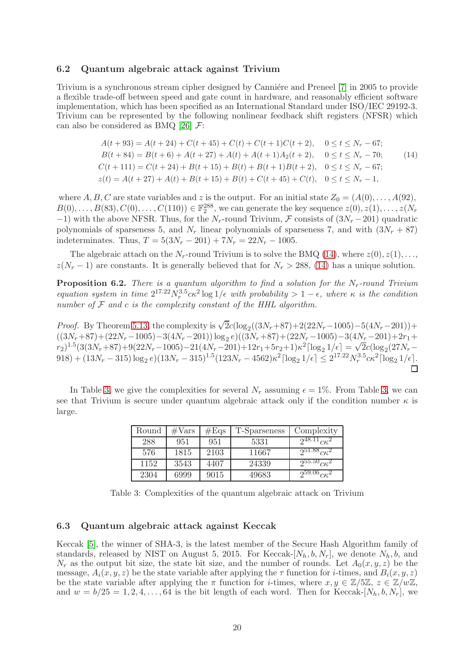#### 6.2 Quantum algebraic attack against Trivium

Trivium is a synchronous stream cipher designed by Canniére and Preneel [\[7\]](#page-22-8) in 2005 to provide a flexible trade-off between speed and gate count in hardware, and reasonably efficient software implementation, which has been specified as an International Standard under ISO/IEC 29192-3. Trivium can be represented by the following nonlinear feedback shift registers (NFSR) which can also be considered as BMQ [\[26\]](#page-23-9)  $\mathcal{F}$ :

<span id="page-19-0"></span>
$$
A(t+93) = A(t+24) + C(t+45) + C(t) + C(t+1)C(t+2), \quad 0 \le t \le N_r - 67;
$$
  
\n
$$
B(t+84) = B(t+6) + A(t+27) + A(t) + A(t+1)A_2(t+2), \quad 0 \le t \le N_r - 70;
$$
  
\n
$$
C(t+111) = C(t+24) + B(t+15) + B(t) + B(t+1)B(t+2), \quad 0 \le t \le N_r - 67;
$$
  
\n
$$
z(t) = A(t+27) + A(t) + B(t+15) + B(t) + C(t+45) + C(t), \quad 0 \le t \le N_r - 1,
$$

where A, B, C are state variables and z is the output. For an initial state  $Z_0 = (A(0), \ldots, A(92),$  $B(0), \ldots, B(83), C(0), \ldots, C(110)) \in \mathbb{F}_2^{288}$ , we can generate the key sequence  $z(0), z(1), \ldots, z(N_r)$  $-1$ ) with the above NFSR. Thus, for the N<sub>r</sub>-round Trivium, F consists of  $(3N_r - 201)$  quadratic polynomials of sparseness 5, and  $N_r$  linear polynomials of sparseness 7, and with  $(3N_r + 87)$ indeterminates. Thus,  $T = 5(3N_r - 201) + 7N_r = 22N_r - 1005$ .

The algebraic attach on the  $N_r$ -round Trivium is to solve the BMQ [\(14\)](#page-19-0), where  $z(0), z(1), \ldots$ ,  $z(N_r - 1)$  are constants. It is generally believed that for  $N_r > 288$ , [\(14\)](#page-19-0) has a unique solution.

**Proposition 6.2.** There is a quantum algorithm to find a solution for the  $N_r$ -round Trivium equation system in time  $2^{17.22} N_r^{3.5} c \kappa^2 \log 1/\epsilon$  with probability  $> 1 - \epsilon$ , where  $\kappa$  is the condition number of  $\mathcal F$  and  $c$  is the complexity constant of the HHL algorithm.

*Proof.* By Theorem [5.13,](#page-16-0) the complexity is  $\sqrt{2}c(\log_2((3N_r+87)+2(22N_r-1005)-5(4N_r-201))+$  $((3N_r+87)+(22N_r-1005)-3(4N_r-201))\log_2 e)((3N_r+87)+(22N_r-1005)-3(4N_r-201)+2r_1+$  $r_2$ )<sup>1.5</sup>(3(3Nr+87)+9(22Nr−1005)−21(4Nr−201)+12r<sub>1</sub>+5r<sub>2</sub>+1)κ<sup>2</sup>[log<sub>2</sub> 1/ $\epsilon$ ] =  $\sqrt{2}c(\log_2(27N_r-\gamma^2))$  $(918) + (13N_r - 315) \log_2 e (13N_r - 315)^{1.5} (123N_r - 4562) \kappa^2 \lceil \log_2 1/\epsilon \rceil \leq 2^{17.22} N_r^{3.5} c \kappa^2 \lceil \log_2 1/\epsilon \rceil$ .

In Table [3,](#page-19-1) we give the complexities for several  $N_r$  assuming  $\epsilon = 1\%$ . From Table 3, we can see that Trivium is secure under quantum algebraic attack only if the condition number  $\kappa$  is large.

| Round | $\#\text{Vars}$ | #Eqs | T-Sparseness | Complexity              |
|-------|-----------------|------|--------------|-------------------------|
| 288   | 951             | 951  | 5331         | $2^{48.11} cK^2$        |
| 576   | 1815            | 2103 | 11667        | $2^{51.88}c\kappa^2$    |
| 1152  | 3543            | 4407 | 24339        | $2^{55.50}$ $c\kappa^2$ |
| 2304  | 6999            | 9015 | 49683        | $2^{59.06}$ $c\kappa^2$ |

<span id="page-19-1"></span>Table 3: Complexities of the quantum algebraic attack on Trivium

## 6.3 Quantum algebraic attack against Keccak

Keccak [\[5\]](#page-22-9), the winner of SHA-3, is the latest member of the Secure Hash Algorithm family of standards, released by NIST on August 5, 2015. For Keccak-[ $N_h, b, N_r$ ], we denote  $N_h, b$ , and  $N_r$  as the output bit size, the state bit size, and the number of rounds. Let  $A_0(x, y, z)$  be the message,  $A_i(x, y, z)$  be the state variable after applying the  $\tau$  function for *i*-times, and  $B_i(x, y, z)$ be the state variable after applying the  $\pi$  function for *i*-times, where  $x, y \in \mathbb{Z}/5\mathbb{Z}, z \in \mathbb{Z}/w\mathbb{Z}$ , and  $w = b/25 = 1, 2, 4, \ldots, 64$  is the bit length of each word. Then for Keccak-[ $N_h, b, N_r$ ], we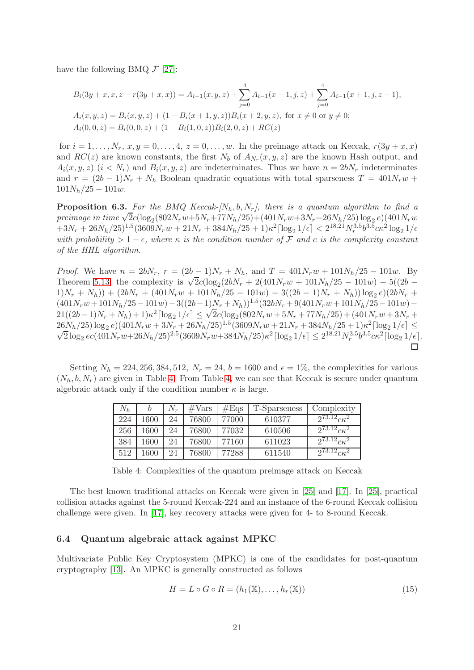have the following BMQ  $\mathcal{F}$  [\[27\]](#page-23-10):

$$
B_i(3y + x, x, z - r(3y + x, x)) = A_{i-1}(x, y, z) + \sum_{j=0}^4 A_{i-1}(x - 1, j, z) + \sum_{j=0}^4 A_{i-1}(x + 1, j, z - 1);
$$
  
\n
$$
A_i(x, y, z) = B_i(x, y, z) + (1 - B_i(x + 1, y, z))B_i(x + 2, y, z), \text{ for } x \neq 0 \text{ or } y \neq 0;
$$
  
\n
$$
A_i(0, 0, z) = B_i(0, 0, z) + (1 - B_i(1, 0, z))B_i(2, 0, z) + RC(z)
$$

for  $i = 1, \ldots, N_r, x, y = 0, \ldots, 4, z = 0, \ldots, w$ . In the preimage attack on Keccak,  $r(3y + x, x)$ and  $RC(z)$  are known constants, the first  $N_b$  of  $A_{N_r}(x, y, z)$  are the known Hash output, and  $A_i(x, y, z)$   $(i < N_r)$  and  $B_i(x, y, z)$  are indeterminates. Thus we have  $n = 2bN_r$  indeterminates and  $r = (2b - 1)N_r + N_h$  Boolean quadratic equations with total sparseness  $T = 401N_r w +$  $101N_h/25 - 101w$ .

**Proposition 6.3.** For the BMQ Keccak- $[N_h, b, N_r]$ , there is a quantum algorithm to find a preimage in time  $\sqrt{2}c(\log_2(802N_rw+5N_r+77N_h/25)+(401N_rw+3N_r+26N_h/25)\log_2e)(401N_rw$  $+3N_r + 26N_h/25)^{1.5} (3609N_r w + 21N_r + 384N_h/25 + 1)\kappa^2 \lceil \log_2 1/\epsilon \rceil < 2^{18.21} N_r^{3.5} b^{3.5} c \kappa^2 \log_2 1/\epsilon$ with probability > 1 –  $\epsilon$ , where  $\kappa$  is the condition number of F and c is the complexity constant of the HHL algorithm.

*Proof.* We have  $n = 2bN_r$ ,  $r = (2b-1)N_r + N_h$ , and  $T = 401N_r w + 101N_h/25 - 101w$ . By Theorem [5.13,](#page-16-0) the complexity is  $\sqrt{2}c(\log_2(2bN_r + 2(401N_rw + 101N_h/25 - 101w) - 5((2b (1)N_r + N_h)$  +  $(2bN_r + (401N_r w + 101N_h/25 - 101w) - 3((2b - 1)N_r + N_h)) \log_2 e$  $(2bN_r +$  $(401N_rw+101N_h/25-101w)-3((2b-1)N_r+N_h))^{1.5}(32bN_r+9(401N_rw+101N_h/25-101w) 21((2b-1)N_r + N_h) + 1)\kappa^2 \left[\log_2 1/\epsilon\right] \leq \sqrt{2c}(\log_2(802N_r w + 5N_r + 77N_h/25) + (401N_r w + 3N_r + 1)\kappa^2\right]$  $26N_h/25)\log_2e(401N_rw+3N_r+26N_h/25)^{1.5}(3609N_rw+21N_r+384N_h/25+1)\kappa^2$  $(26N_h/25)\log_2 e((401N_r w + 3N_r + 26N_h/25)^{1.5}(3609N_r w + 21N_r + 384N_h/25 + 1)\kappa^2[\log_2 1/\epsilon] \leq$  $\frac{1}{2} \log_2 e c (401 N_r w + 26 N_h / 25)^{2.5} (3609 N_r w + 384 N_h / 25) \kappa^2 \left[ \log_2 1/\epsilon \right] \leq 2^{18.21} N_r^{3.5} b^{3.5} c \kappa^2 \left[ \log_2 1/\epsilon \right].$ 

Setting  $N_h = 224, 256, 384, 512, N_r = 24, b = 1600$  and  $\epsilon = 1\%$ , the complexities for various  $(N_h, b, N_r)$  are given in Table [4.](#page-20-0) From Table [4,](#page-20-0) we can see that Keccak is secure under quantum algebraic attack only if the condition number  $\kappa$  is large.

| $N_h$ |      | $N_r$ | $\#\text{Vars}$ | #Eqs  | T-Sparseness | Complexity             |
|-------|------|-------|-----------------|-------|--------------|------------------------|
| 224   | 1600 | 24    | 76800           | 77000 | 610377       | $2^{73.12} c \kappa^2$ |
| 256   | 1600 | 24    | 76800           | 77032 | 610506       | $2^{73.12}c\kappa^2$   |
| 384   | 1600 | 24    | 76800           | 77160 | 611023       | $2^{73.12} c \kappa^2$ |
| 512   | 1600 | 24    | 76800           | 77288 | 611540       | $2^{73.12} c \kappa^2$ |

<span id="page-20-0"></span>Table 4: Complexities of the quantum preimage attack on Keccak

The best known traditional attacks on Keccak were given in [\[25\]](#page-23-11) and [\[17\]](#page-23-12). In [\[25\]](#page-23-11), practical collision attacks against the 5-round Keccak-224 and an instance of the 6-round Keccak collision challenge were given. In [\[17\]](#page-23-12), key recovery attacks were given for 4- to 8-round Keccak.

## 6.4 Quantum algebraic attack against MPKC

Multivariate Public Key Cryptosystem (MPKC) is one of the candidates for post-quantum cryptography [\[13\]](#page-23-13). An MPKC is generally constructed as follows

$$
H = L \circ G \circ R = (h_1(\mathbb{X}), \dots, h_r(\mathbb{X}))
$$
\n(15)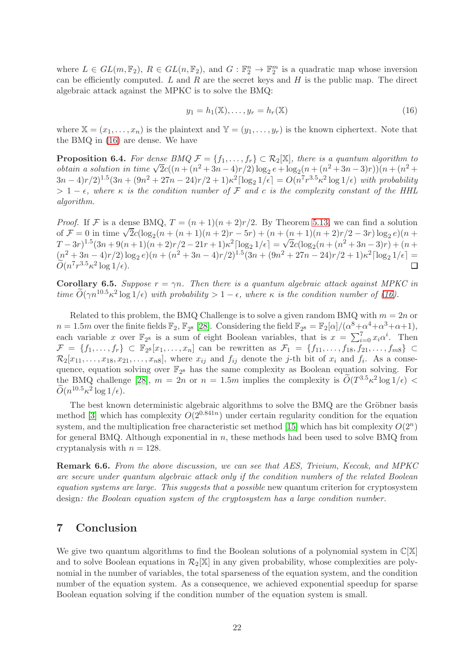where  $L \in GL(m, \mathbb{F}_2)$ ,  $R \in GL(n, \mathbb{F}_2)$ , and  $G : \mathbb{F}_2^n \to \mathbb{F}_2^m$  is a quadratic map whose inversion can be efficiently computed. L and R are the secret keys and H is the public map. The direct algebraic attack against the MPKC is to solve the BMQ:

<span id="page-21-0"></span>
$$
y_1 = h_1(\mathbb{X}), \dots, y_r = h_r(\mathbb{X})
$$
\n<sup>(16)</sup>

where  $\mathbb{X} = (x_1, \ldots, x_n)$  is the plaintext and  $\mathbb{Y} = (y_1, \ldots, y_r)$  is the known ciphertext. Note that the BMQ in [\(16\)](#page-21-0) are dense. We have

**Proposition 6.4.** For dense BMQ  $\mathcal{F} = \{f_1, \ldots, f_r\} \subset \mathcal{R}_2[\mathbb{X}]$ , there is a quantum algorithm to obtain a solution in time  $\sqrt{2}c((n+(n^2+3n-4)r/2)\log_2 e + \log_2(n+(n^2+3n-3)r))(n+(n^2+3n-3)r)$  $(3n-4)r/2$ <sup>1.5</sup> $(3n+(9n^2+27n-24)r/2+1)\kappa^2 \lceil \log_2 1/\epsilon \rceil = O(n^7r^{3.5}\kappa^2 \log 1/\epsilon)$  with probability  $> 1 - \epsilon$ , where  $\kappa$  is the condition number of F and c is the complexity constant of the HHL algorithm.

*Proof.* If F is a dense BMQ,  $T = (n+1)(n+2)r/2$ . By Theorem [5.13,](#page-16-0) we can find a solution of  $F = 0$  in time  $\sqrt{2}c(\log_2((n + (n + 1)(n + 2)r - 5r)) + (n + (n + 1)(n + 2)r/2 - 3r)\log_2 e)(n +$  $(T-3r)^{1.5}(3n+9(n+1)(n+2)r/2-21r+1)\kappa^2[\log_2 1/\epsilon] = \sqrt{2c}(\log_2(n+(n^2+3n-3)r)+(n+1)\kappa^2)$  $(n^2+3n-4)r/2)\log_2 e((n+(n^2+3n-4)r/2)^{1.5}(3n+(9n^2+27n-24)r/2+1)\kappa^2\lceil\log_2 1/\epsilon\rceil =$  $\widetilde{O}(n^7r^{3.5}\kappa^2\log 1/\epsilon).$ 

**Corollary 6.5.** Suppose  $r = \gamma n$ . Then there is a quantum algebraic attack against MPKC in time  $\tilde{O}(\gamma n^{10.5} \kappa^2 \log 1/\epsilon)$  with probability  $> 1 - \epsilon$ , where  $\kappa$  is the condition number of [\(16\)](#page-21-0).

Related to this problem, the BMQ Challenge is to solve a given random BMQ with  $m = 2n$  or  $n = 1.5m$  over the finite fields  $\mathbb{F}_2$ ,  $\mathbb{F}_{2^8}$  [\[28\]](#page-23-14). Considering the field  $\mathbb{F}_{2^8} = \mathbb{F}_2[\alpha]/(\alpha^8 + \alpha^4 + \alpha^3 + \alpha + 1)$ , each variable x over  $\mathbb{F}_{2^8}$  is a sum of eight Boolean variables, that is  $x = \sum_{i=0}^{7} x_i \alpha^i$ . Then  $\mathcal{F} = \{f_1, \ldots, f_r\} \subset \mathbb{F}_{2^8}[x_1, \ldots, x_n]$  can be rewritten as  $\mathcal{F}_1 = \{f_{11}, \ldots, f_{18}, f_{21}, \ldots, f_{m8}\} \subset$  $\mathcal{R}_2[x_{11},\ldots,x_{18},x_{21},\ldots,x_{n8}]$ , where  $x_{ij}$  and  $f_{ij}$  denote the *j*-th bit of  $x_i$  and  $f_i$ . As a consequence, equation solving over  $\mathbb{F}_{2^8}$  has the same complexity as Boolean equation solving. For the BMQ challenge [\[28\]](#page-23-14),  $m = 2n$  or  $n = 1.5m$  implies the complexity is  $\widetilde{O}(T^{3.5} \kappa^2 \log 1/\epsilon)$  <  $\widetilde{O}(n^{10.5}\kappa^2 \log 1/\epsilon).$ 

The best known deterministic algebraic algorithms to solve the BMQ are the Gröbner basis method [\[3\]](#page-22-10) which has complexity  $O(2^{0.841n})$  under certain regularity condition for the equation system, and the multiplication free characteristic set method [\[15\]](#page-23-15) which has bit complexity  $O(2^n)$ for general BMQ. Although exponential in  $n$ , these methods had been used to solve BMQ from cryptanalysis with  $n = 128$ .

Remark 6.6. From the above discussion, we can see that AES, Trivium, Keccak, and MPKC are secure under quantum algebraic attack only if the condition numbers of the related Boolean equation systems are large. This suggests that a possible new quantum criterion for cryptosystem design: the Boolean equation system of the cryptosystem has a large condition number.

# 7 Conclusion

We give two quantum algorithms to find the Boolean solutions of a polynomial system in  $\mathbb{C}[\mathbb{X}]$ and to solve Boolean equations in  $\mathcal{R}_2[\mathbb{X}]$  in any given probability, whose complexities are polynomial in the number of variables, the total sparseness of the equation system, and the condition number of the equation system. As a consequence, we achieved exponential speedup for sparse Boolean equation solving if the condition number of the equation system is small.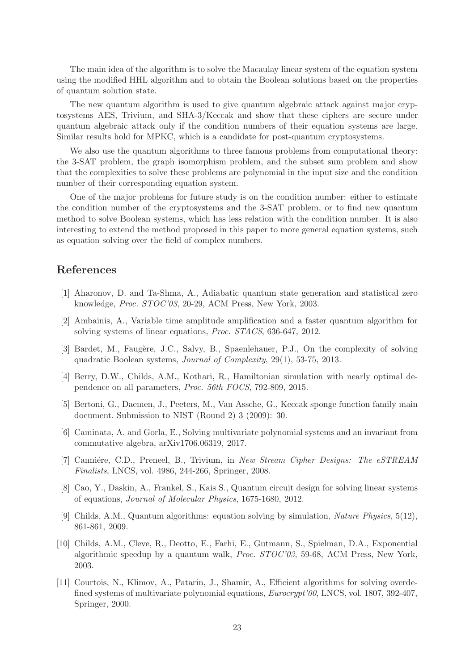The main idea of the algorithm is to solve the Macaulay linear system of the equation system using the modified HHL algorithm and to obtain the Boolean solutions based on the properties of quantum solution state.

The new quantum algorithm is used to give quantum algebraic attack against major cryptosystems AES, Trivium, and SHA-3/Keccak and show that these ciphers are secure under quantum algebraic attack only if the condition numbers of their equation systems are large. Similar results hold for MPKC, which is a candidate for post-quantum cryptosystems.

We also use the quantum algorithms to three famous problems from computational theory: the 3-SAT problem, the graph isomorphism problem, and the subset sum problem and show that the complexities to solve these problems are polynomial in the input size and the condition number of their corresponding equation system.

One of the major problems for future study is on the condition number: either to estimate the condition number of the cryptosystems and the 3-SAT problem, or to find new quantum method to solve Boolean systems, which has less relation with the condition number. It is also interesting to extend the method proposed in this paper to more general equation systems, such as equation solving over the field of complex numbers.

# <span id="page-22-2"></span>References

- <span id="page-22-0"></span>[1] Aharonov, D. and Ta-Shma, A., Adiabatic quantum state generation and statistical zero knowledge, Proc. STOC'03, 20-29, ACM Press, New York, 2003.
- <span id="page-22-10"></span>[2] Ambainis, A., Variable time amplitude amplification and a faster quantum algorithm for solving systems of linear equations, Proc. STACS, 636-647, 2012.
- [3] Bardet, M., Faugère, J.C., Salvy, B., Spaenlehauer, P.J., On the complexity of solving quadratic Boolean systems, Journal of Complexity, 29(1), 53-75, 2013.
- <span id="page-22-5"></span>[4] Berry, D.W., Childs, A.M., Kothari, R., Hamiltonian simulation with nearly optimal dependence on all parameters, Proc. 56th FOCS, 792-809, 2015.
- <span id="page-22-9"></span>[5] Bertoni, G., Daemen, J., Peeters, M., Van Assche, G., Keccak sponge function family main document. Submission to NIST (Round 2) 3 (2009): 30.
- <span id="page-22-7"></span>[6] Caminata, A. and Gorla, E., Solving multivariate polynomial systems and an invariant from commutative algebra, arXiv1706.06319, 2017.
- <span id="page-22-8"></span>[7] Canniére, C.D., Preneel, B., Trivium, in New Stream Cipher Designs: The eSTREAM Finalists, LNCS, vol. 4986, 244-266, Springer, 2008.
- <span id="page-22-4"></span><span id="page-22-3"></span>[8] Cao, Y., Daskin, A., Frankel, S., Kais S., Quantum circuit design for solving linear systems of equations, Journal of Molecular Physics, 1675-1680, 2012.
- [9] Childs, A.M., Quantum algorithms: equation solving by simulation, Nature Physics, 5(12), 861-861, 2009.
- <span id="page-22-6"></span>[10] Childs, A.M., Cleve, R., Deotto, E., Farhi, E., Gutmann, S., Spielman, D.A., Exponential algorithmic speedup by a quantum walk, Proc. STOC'03, 59-68, ACM Press, New York, 2003.
- <span id="page-22-1"></span>[11] Courtois, N., Klimov, A., Patarin, J., Shamir, A., Efficient algorithms for solving overdefined systems of multivariate polynomial equations, Eurocrypt'00, LNCS, vol. 1807, 392-407, Springer, 2000.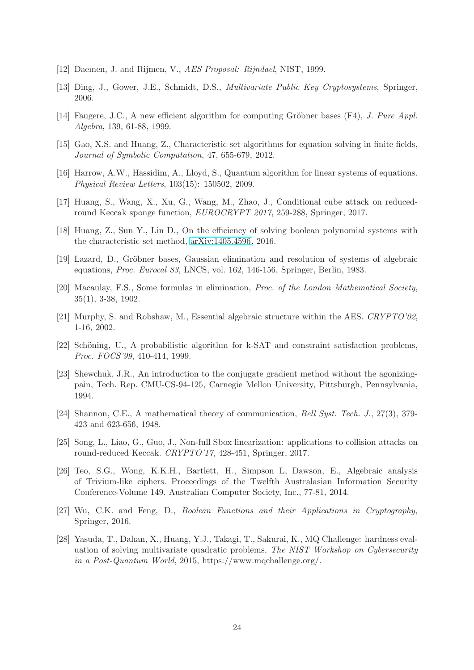- <span id="page-23-13"></span><span id="page-23-7"></span>[12] Daemen, J. and Rijmen, V., AES Proposal: Rijndael, NIST, 1999.
- <span id="page-23-2"></span>[13] Ding, J., Gower, J.E., Schmidt, D.S., Multivariate Public Key Cryptosystems, Springer, 2006.
- <span id="page-23-15"></span>[14] Faugere, J.C., A new efficient algorithm for computing Gröbner bases  $(F4)$ , J. Pure Appl. Algebra, 139, 61-88, 1999.
- <span id="page-23-1"></span>[15] Gao, X.S. and Huang, Z., Characteristic set algorithms for equation solving in finite fields, Journal of Symbolic Computation, 47, 655-679, 2012.
- <span id="page-23-12"></span>[16] Harrow, A.W., Hassidim, A., Lloyd, S., Quantum algorithm for linear systems of equations. Physical Review Letters, 103(15): 150502, 2009.
- [17] Huang, S., Wang, X., Xu, G., Wang, M., Zhao, J., Conditional cube attack on reducedround Keccak sponge function, EUROCRYPT 2017, 259-288, Springer, 2017.
- <span id="page-23-5"></span>[18] Huang, Z., Sun Y., Lin D., On the efficiency of solving boolean polynomial systems with the characteristic set method, [arXiv:1405.4596,](http://arxiv.org/abs/1405.4596) 2016.
- <span id="page-23-4"></span>[19] Lazard, D., Gröbner bases, Gaussian elimination and resolution of systems of algebraic equations, Proc. Eurocal 83, LNCS, vol. 162, 146-156, Springer, Berlin, 1983.
- [20] Macaulay, F.S., Some formulas in elimination, Proc. of the London Mathematical Society, 35(1), 3-38, 1902.
- <span id="page-23-8"></span><span id="page-23-6"></span>[21] Murphy, S. and Robshaw, M., Essential algebraic structure within the AES. CRYPTO'02, 1-16, 2002.
- <span id="page-23-3"></span>[22] Schöning, U., A probabilistic algorithm for k-SAT and constraint satisfaction problems, Proc. FOCS'99, 410-414, 1999.
- [23] Shewchuk, J.R., An introduction to the conjugate gradient method without the agonizingpain, Tech. Rep. CMU-CS-94-125, Carnegie Mellon University, Pittsburgh, Pennsylvania, 1994.
- <span id="page-23-0"></span>[24] Shannon, C.E., A mathematical theory of communication, Bell Syst. Tech. J., 27(3), 379- 423 and 623-656, 1948.
- <span id="page-23-11"></span>[25] Song, L., Liao, G., Guo, J., Non-full Sbox linearization: applications to collision attacks on round-reduced Keccak. CRYPTO'17, 428-451, Springer, 2017.
- <span id="page-23-9"></span>[26] Teo, S.G., Wong, K.K.H., Bartlett, H., Simpson L, Dawson, E., Algebraic analysis of Trivium-like ciphers. Proceedings of the Twelfth Australasian Information Security Conference-Volume 149. Australian Computer Society, Inc., 77-81, 2014.
- <span id="page-23-10"></span>[27] Wu, C.K. and Feng, D., Boolean Functions and their Applications in Cryptography, Springer, 2016.
- <span id="page-23-14"></span>[28] Yasuda, T., Dahan, X., Huang, Y.J., Takagi, T., Sakurai, K., MQ Challenge: hardness evaluation of solving multivariate quadratic problems, The NIST Workshop on Cybersecurity in a Post-Quantum World, 2015, https://www.mqchallenge.org/.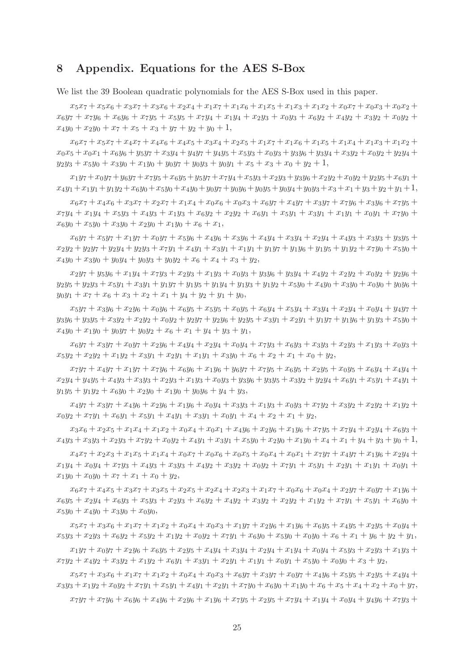# <span id="page-24-0"></span>8 Appendix. Equations for the AES S-Box

We list the 39 Boolean quadratic polynomials for the AES S-Box used in this paper.

 $x_5x_7 + x_5x_6 + x_3x_7 + x_3x_6 + x_2x_4 + x_1x_7 + x_1x_6 + x_1x_5 + x_1x_3 + x_1x_2 + x_0x_7 + x_0x_3 + x_0x_2 +$  $x_6y_7 + x_7y_6 + x_6y_6 + x_7y_5 + x_5y_5 + x_7y_4 + x_1y_4 + x_2y_3 + x_0y_3 + x_6y_2 + x_4y_2 + x_3y_2 + x_0y_2 +$  $x_4y_0 + x_2y_0 + x_7 + x_5 + x_3 + y_7 + y_2 + y_0 + 1$ ,

 $x_6x_7 + x_5x_7 + x_4x_7 + x_4x_6 + x_4x_5 + x_3x_4 + x_2x_5 + x_1x_7 + x_1x_6 + x_1x_5 + x_1x_4 + x_1x_3 + x_1x_2 +$  $x_0x_5 + x_0x_1 + x_6y_6 + y_5y_7 + x_3y_4 + y_4y_7 + y_4y_5 + x_5y_3 + x_0y_3 + y_3y_6 + y_3y_4 + x_3y_2 + x_0y_2 + y_2y_4 +$  $y_2y_3 + x_5y_0 + x_3y_0 + x_1y_0 + y_0y_7 + y_0y_3 + y_0y_1 + x_5 + x_3 + x_0 + y_2 + 1$ 

 $x_1y_7+x_0y_7+y_6y_7+x_7y_5+x_6y_5+y_5y_7+x_7y_4+x_5y_3+x_2y_3+y_3y_6+x_2y_2+x_0y_2+y_2y_5+x_6y_1+$  $x_4y_1+x_1y_1+y_1y_2+x_6y_0+x_5y_0+x_4y_0+y_0y_7+y_0y_6+y_0y_5+y_0y_4+y_0y_3+x_3+x_1+y_3+y_2+y_1+1,$ 

 $x_6x_7 + x_4x_6 + x_3x_7 + x_2x_7 + x_1x_4 + x_0x_6 + x_0x_3 + x_6y_7 + x_4y_7 + x_3y_7 + x_7y_6 + x_3y_6 + x_7y_5 +$  $x_7y_4 + x_1y_4 + x_5y_3 + x_4y_3 + x_1y_3 + x_6y_2 + x_2y_2 + x_6y_1 + x_5y_1 + x_3y_1 + x_1y_1 + x_0y_1 + x_7y_0 +$  $x_6y_0 + x_5y_0 + x_3y_0 + x_2y_0 + x_1y_0 + x_6 + x_1$ 

 $x_6y_7 + x_5y_7 + x_1y_7 + x_0y_7 + x_5y_6 + x_4y_6 + x_3y_6 + x_4y_4 + x_3y_4 + x_2y_4 + x_4y_3 + x_3y_3 + y_3y_5 +$  $x_2y_2 + y_2y_7 + y_2y_4 + y_2y_3 + x_7y_1 + x_4y_1 + x_3y_1 + x_1y_1 + y_1y_7 + y_1y_6 + y_1y_5 + y_1y_2 + x_7y_0 + x_5y_0 +$  $x_4y_0 + x_3y_0 + y_0y_4 + y_0y_3 + y_0y_2 + x_6 + x_4 + x_3 + y_2$ 

 $x_2y_7 + y_5y_6 + x_1y_4 + x_7y_3 + x_2y_3 + x_1y_3 + x_0y_3 + y_3y_6 + y_3y_4 + x_4y_2 + x_2y_2 + x_0y_2 + y_2y_6 +$  $y_2y_5 + y_2y_3 + x_5y_1 + x_3y_1 + y_1y_7 + y_1y_5 + y_1y_4 + y_1y_3 + y_1y_2 + x_5y_0 + x_4y_0 + x_3y_0 + x_0y_0 + y_0y_6 +$  $y_0y_1 + x_7 + x_6 + x_3 + x_2 + x_1 + y_4 + y_2 + y_1 + y_0$ 

 $x_5y_7 + x_3y_6 + x_2y_6 + x_0y_6 + x_6y_5 + x_5y_5 + x_0y_5 + x_6y_4 + x_5y_4 + x_3y_4 + x_2y_4 + x_0y_4 + y_4y_7 +$  $y_3y_6 + y_3y_5 + x_3y_2 + x_2y_2 + x_0y_2 + y_2y_7 + y_2y_6 + y_2y_5 + x_3y_1 + x_2y_1 + y_1y_7 + y_1y_6 + y_1y_3 + x_5y_0 +$  $x_4y_0 + x_1y_0 + y_0y_7 + y_0y_2 + x_6 + x_1 + y_4 + y_3 + y_1$ 

 $x_6y_7 + x_3y_7 + x_0y_7 + x_2y_6 + x_4y_4 + x_2y_4 + x_0y_4 + x_7y_3 + x_6y_3 + x_3y_3 + x_2y_3 + x_1y_3 + x_0y_3 +$  $x_5y_2 + x_2y_2 + x_1y_2 + x_3y_1 + x_2y_1 + x_1y_1 + x_3y_0 + x_6 + x_2 + x_1 + x_0 + y_2,$ 

 $x_7y_7 + x_4y_7 + x_1y_7 + x_7y_6 + x_6y_6 + x_1y_6 + y_6y_7 + x_7y_5 + x_6y_5 + x_2y_5 + x_0y_5 + x_6y_4 + x_4y_4 +$  $x_2y_4 + y_4y_5 + x_4y_3 + x_3y_3 + x_2y_3 + x_1y_3 + x_0y_3 + y_3y_6 + y_3y_5 + x_3y_2 + y_2y_4 + x_6y_1 + x_5y_1 + x_4y_1 +$  $y_1y_5 + y_1y_2 + x_6y_0 + x_2y_0 + x_1y_0 + y_0y_6 + y_4 + y_3$ 

 $x_4y_7 + x_3y_7 + x_4y_6 + x_2y_6 + x_1y_6 + x_0y_4 + x_3y_3 + x_1y_3 + x_0y_3 + x_7y_2 + x_3y_2 + x_2y_2 + x_1y_2 +$  $x_0y_2 + x_7y_1 + x_6y_1 + x_5y_1 + x_4y_1 + x_3y_1 + x_0y_1 + x_4 + x_2 + x_1 + y_2$ 

 $x_3x_6 + x_2x_5 + x_1x_4 + x_1x_2 + x_0x_4 + x_0x_1 + x_4y_6 + x_2y_6 + x_1y_6 + x_7y_5 + x_7y_4 + x_2y_4 + x_6y_3 +$  $x_4y_3 + x_3y_3 + x_2y_3 + x_7y_2 + x_0y_2 + x_4y_1 + x_3y_1 + x_5y_0 + x_2y_0 + x_1y_0 + x_4 + x_1 + y_4 + y_3 + y_0 + 1$ 

 $x_4x_7 + x_2x_3 + x_1x_5 + x_1x_4 + x_0x_7 + x_0x_6 + x_0x_5 + x_0x_4 + x_0x_1 + x_7y_7 + x_4y_7 + x_1y_6 + x_2y_4 +$  $x_1y_4 + x_0y_4 + x_7y_3 + x_4y_3 + x_3y_3 + x_4y_2 + x_3y_2 + x_0y_2 + x_7y_1 + x_5y_1 + x_2y_1 + x_1y_1 + x_0y_1 +$  $x_1y_0 + x_0y_0 + x_7 + x_1 + x_0 + y_2$ 

 $x_6x_7 + x_4x_5 + x_3x_7 + x_3x_5 + x_2x_5 + x_2x_4 + x_2x_3 + x_1x_7 + x_0x_6 + x_0x_4 + x_2y_7 + x_0y_7 + x_1y_6 +$  $x_6y_5 + x_2y_4 + x_6y_3 + x_5y_3 + x_2y_3 + x_6y_2 + x_4y_2 + x_3y_2 + x_2y_2 + x_1y_2 + x_7y_1 + x_5y_1 + x_6y_0 +$  $x_5y_0 + x_4y_0 + x_3y_0 + x_0y_0$ 

 $x_5x_7 + x_3x_6 + x_1x_7 + x_1x_2 + x_0x_4 + x_0x_3 + x_1y_7 + x_2y_6 + x_1y_6 + x_6y_5 + x_4y_5 + x_2y_5 + x_0y_4 +$  $x_5y_3 + x_2y_3 + x_6y_2 + x_5y_2 + x_1y_2 + x_0y_2 + x_7y_1 + x_6y_0 + x_5y_0 + x_0y_0 + x_6 + x_1 + y_6 + y_2 + y_1$ 

 $x_1y_7 + x_0y_7 + x_2y_6 + x_6y_5 + x_2y_5 + x_4y_4 + x_3y_4 + x_2y_4 + x_1y_4 + x_0y_4 + x_5y_3 + x_2y_3 + x_1y_3 +$  $x_7y_2 + x_4y_2 + x_3y_2 + x_1y_2 + x_6y_1 + x_3y_1 + x_2y_1 + x_1y_1 + x_0y_1 + x_5y_0 + x_0y_0 + x_3 + y_2,$ 

 $x_5x_7 + x_3x_6 + x_1x_7 + x_1x_2 + x_0x_4 + x_0x_3 + x_6y_7 + x_3y_7 + x_0y_7 + x_4y_6 + x_5y_5 + x_2y_5 + x_4y_4 +$  $x_3y_3 + x_1y_2 + x_0y_2 + x_7y_1 + x_5y_1 + x_4y_1 + x_2y_1 + x_7y_0 + x_6y_0 + x_1y_0 + x_6 + x_5 + x_4 + x_2 + x_0 + y_7$ 

 $x_7y_7 + x_7y_6 + x_6y_6 + x_4y_6 + x_2y_6 + x_1y_6 + x_7y_5 + x_2y_5 + x_7y_4 + x_1y_4 + x_0y_4 + y_4y_6 + x_7y_3 +$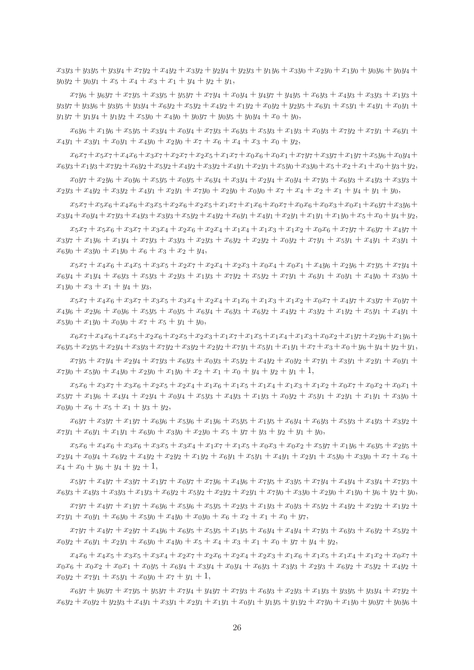$x_3y_3 + y_3y_5 + y_3y_4 + x_7y_2 + x_4y_2 + x_3y_2 + y_2y_4 + y_2y_3 + y_1y_6 + x_3y_0 + x_2y_0 + x_1y_0 + y_0y_6 + y_0y_4 +$  $y_0y_2 + y_0y_1 + x_5 + x_4 + x_3 + x_1 + y_4 + y_2 + y_1$ 

 $x_7y_6 + y_6y_7 + x_7y_5 + x_3y_5 + y_5y_7 + x_7y_4 + x_0y_4 + y_4y_7 + y_4y_5 + x_6y_3 + x_4y_3 + x_3y_3 + x_1y_3 +$  $y_3y_7 + y_3y_6 + y_3y_5 + y_3y_4 + x_6y_2 + x_5y_2 + x_4y_2 + x_1y_2 + x_0y_2 + y_2y_5 + x_6y_1 + x_5y_1 + x_4y_1 + x_0y_1 +$  $y_1y_7 + y_1y_4 + y_1y_2 + x_5y_0 + x_4y_0 + y_0y_7 + y_0y_5 + y_0y_4 + x_0 + y_0$ 

 $x_6y_6 + x_1y_6 + x_5y_5 + x_3y_4 + x_0y_4 + x_7y_3 + x_6y_3 + x_5y_3 + x_1y_3 + x_0y_3 + x_7y_2 + x_7y_1 + x_6y_1 +$  $x_4y_1 + x_3y_1 + x_0y_1 + x_4y_0 + x_2y_0 + x_7 + x_6 + x_4 + x_3 + x_0 + y_2$ 

 $x_6x_7+x_5x_7+x_4x_6+x_3x_7+x_2x_7+x_2x_5+x_1x_7+x_0x_6+x_0x_1+x_7y_7+x_3y_7+x_1y_7+x_5y_6+x_0y_4+$  $x_6y_3+x_1y_3+x_7y_2+x_6y_2+x_5y_2+x_4y_2+x_3y_2+x_4y_1+x_2y_1+x_5y_0+x_3y_0+x_5+x_2+x_1+x_0+y_3+y_2,$ 

 $x_0y_7 + x_2y_6 + x_0y_6 + x_5y_5 + x_0y_5 + x_6y_4 + x_3y_4 + x_2y_4 + x_0y_4 + x_7y_3 + x_6y_3 + x_4y_3 + x_3y_3 +$  $x_2y_3 + x_4y_2 + x_3y_2 + x_4y_1 + x_2y_1 + x_7y_0 + x_2y_0 + x_0y_0 + x_7 + x_4 + x_2 + x_1 + y_4 + y_1 + y_0$ 

 $x_5x_7+x_5x_6+x_4x_6+x_3x_5+x_2x_6+x_2x_5+x_1x_7+x_1x_6+x_0x_7+x_0x_6+x_0x_3+x_0x_1+x_6y_7+x_3y_6+$  $x_3y_4+x_0y_4+x_7y_3+x_4y_3+x_3y_3+x_5y_2+x_4y_2+x_6y_1+x_4y_1+x_2y_1+x_1y_1+x_1y_0+x_5+x_0+y_4+y_2,$ 

 $x_5x_7 + x_5x_6 + x_3x_7 + x_3x_4 + x_2x_6 + x_2x_4 + x_1x_4 + x_1x_3 + x_1x_2 + x_0x_6 + x_7y_7 + x_6y_7 + x_4y_7 +$  $x_3y_7 + x_1y_6 + x_1y_4 + x_7y_3 + x_3y_3 + x_2y_3 + x_6y_2 + x_2y_2 + x_0y_2 + x_7y_1 + x_5y_1 + x_4y_1 + x_3y_1 +$  $x_6y_0 + x_3y_0 + x_1y_0 + x_6 + x_3 + x_2 + y_4$ 

 $x_5x_7 + x_4x_6 + x_4x_5 + x_3x_5 + x_2x_7 + x_2x_4 + x_2x_3 + x_0x_4 + x_0x_1 + x_4y_6 + x_2y_6 + x_7y_5 + x_7y_4 +$  $x_6y_4 + x_1y_4 + x_6y_3 + x_5y_3 + x_2y_3 + x_1y_3 + x_7y_2 + x_5y_2 + x_7y_1 + x_6y_1 + x_0y_1 + x_4y_0 + x_3y_0 +$  $x_1y_0 + x_3 + x_1 + y_4 + y_3$ 

 $x_5x_7 + x_4x_6 + x_3x_7 + x_3x_5 + x_3x_4 + x_2x_4 + x_1x_6 + x_1x_3 + x_1x_2 + x_0x_7 + x_4y_7 + x_3y_7 + x_0y_7 +$  $x_4y_6 + x_2y_6 + x_0y_6 + x_5y_5 + x_0y_5 + x_6y_4 + x_6y_3 + x_6y_2 + x_4y_2 + x_3y_2 + x_1y_2 + x_5y_1 + x_4y_1 +$  $x_5y_0 + x_1y_0 + x_0y_0 + x_7 + x_5 + y_1 + y_0$ 

 $x_6x_7+x_4x_6+x_4x_5+x_2x_6+x_2x_5+x_2x_3+x_1x_7+x_1x_5+x_1x_4+x_1x_3+x_0x_2+x_1y_7+x_2y_6+x_1y_6+$  $x_6y_5+x_2y_5+x_2y_4+x_3y_3+x_7y_2+x_3y_2+x_2y_2+x_7y_1+x_5y_1+x_1y_1+x_7+x_3+x_0+y_6+y_4+y_2+y_1$ 

 $x_7y_5 + x_7y_4 + x_2y_4 + x_7y_3 + x_6y_3 + x_0y_3 + x_5y_2 + x_4y_2 + x_0y_2 + x_7y_1 + x_3y_1 + x_2y_1 + x_0y_1 +$  $x_7y_0 + x_5y_0 + x_4y_0 + x_2y_0 + x_1y_0 + x_2 + x_1 + x_0 + y_4 + y_2 + y_1 + 1$ 

 $x_5x_6 + x_3x_7 + x_3x_6 + x_2x_5 + x_2x_4 + x_1x_6 + x_1x_5 + x_1x_4 + x_1x_3 + x_1x_2 + x_0x_7 + x_0x_2 + x_0x_1 +$  $x_5y_7 + x_1y_6 + x_4y_4 + x_2y_4 + x_0y_4 + x_5y_3 + x_4y_3 + x_1y_3 + x_0y_2 + x_5y_1 + x_2y_1 + x_1y_1 + x_3y_0 +$  $x_0y_0 + x_6 + x_5 + x_1 + y_3 + y_2$ 

 $x_6y_7 + x_3y_7 + x_1y_7 + x_6y_6 + x_5y_6 + x_1y_6 + x_5y_5 + x_1y_5 + x_6y_4 + x_6y_3 + x_5y_3 + x_4y_3 + x_3y_2 +$  $x_7y_1 + x_6y_1 + x_1y_1 + x_6y_0 + x_3y_0 + x_2y_0 + x_5 + y_7 + y_3 + y_2 + y_1 + y_0$ 

 $x_5x_6 + x_4x_6 + x_3x_6 + x_3x_5 + x_3x_4 + x_1x_7 + x_1x_5 + x_0x_3 + x_0x_2 + x_5y_7 + x_1y_6 + x_6y_5 + x_2y_5 +$  $x_2y_4 + x_0y_4 + x_6y_2 + x_4y_2 + x_2y_2 + x_1y_2 + x_6y_1 + x_5y_1 + x_4y_1 + x_2y_1 + x_5y_0 + x_3y_0 + x_7 + x_6 +$  $x_4 + x_0 + y_6 + y_4 + y_2 + 1$ ,

 $x_5y_7 + x_4y_7 + x_3y_7 + x_1y_7 + x_0y_7 + x_7y_6 + x_4y_6 + x_7y_5 + x_3y_5 + x_7y_4 + x_4y_4 + x_3y_4 + x_7y_3 +$  $x_6y_3 + x_4y_3 + x_3y_3 + x_1y_3 + x_6y_2 + x_5y_2 + x_2y_2 + x_2y_1 + x_7y_0 + x_3y_0 + x_2y_0 + x_1y_0 + y_6 + y_2 + y_0$ 

 $x_7y_7 + x_4y_7 + x_1y_7 + x_6y_6 + x_5y_6 + x_5y_5 + x_2y_3 + x_1y_3 + x_0y_3 + x_5y_2 + x_4y_2 + x_2y_2 + x_1y_2 +$  $x_7y_1 + x_0y_1 + x_6y_0 + x_5y_0 + x_4y_0 + x_0y_0 + x_6 + x_2 + x_1 + x_0 + y_7$ 

 $x_7y_7 + x_4y_7 + x_2y_7 + x_4y_6 + x_6y_5 + x_5y_5 + x_1y_5 + x_6y_4 + x_4y_4 + x_7y_3 + x_6y_3 + x_6y_2 + x_5y_2 +$  $x_0y_2 + x_6y_1 + x_2y_1 + x_6y_0 + x_4y_0 + x_5 + x_4 + x_3 + x_1 + x_0 + y_7 + y_4 + y_2,$ 

 $x_4x_6 + x_4x_5 + x_3x_5 + x_3x_4 + x_2x_7 + x_2x_6 + x_2x_4 + x_2x_3 + x_1x_6 + x_1x_5 + x_1x_4 + x_1x_2 + x_0x_7 +$  $x_0x_6 + x_0x_2 + x_0x_1 + x_0y_5 + x_6y_4 + x_3y_4 + x_0y_4 + x_6y_3 + x_3y_3 + x_2y_3 + x_6y_2 + x_5y_2 + x_4y_2 +$  $x_0y_2 + x_7y_1 + x_5y_1 + x_0y_0 + x_7 + y_1 + 1$ ,

 $x_6y_7 + y_6y_7 + x_7y_5 + y_5y_7 + x_7y_4 + y_4y_7 + x_7y_3 + x_6y_3 + x_2y_3 + x_1y_3 + y_3y_5 + y_3y_4 + x_7y_2 +$  $x_6y_2 + x_0y_2 + y_2y_3 + x_4y_1 + x_3y_1 + x_2y_1 + x_1y_1 + x_0y_1 + y_1y_5 + y_1y_2 + x_7y_0 + x_1y_0 + y_0y_7 + y_0y_6 +$